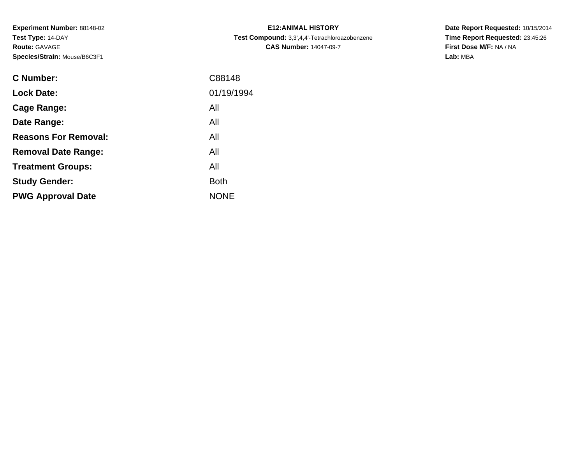**Experiment Number:** 88148-02**Test Type:** 14-DAY**Route:** GAVAGE**Species/Strain:** Mouse/B6C3F1

| <b>C Number:</b>            | C88148      |
|-----------------------------|-------------|
| <b>Lock Date:</b>           | 01/19/1994  |
| Cage Range:                 | All         |
| Date Range:                 | All         |
| <b>Reasons For Removal:</b> | All         |
| <b>Removal Date Range:</b>  | All         |
| <b>Treatment Groups:</b>    | All         |
| <b>Study Gender:</b>        | <b>Both</b> |
| <b>PWG Approval Date</b>    | <b>NONE</b> |
|                             |             |

**E12:ANIMAL HISTORY Test Compound:** 3,3',4,4'-Tetrachloroazobenzene**CAS Number:** 14047-09-7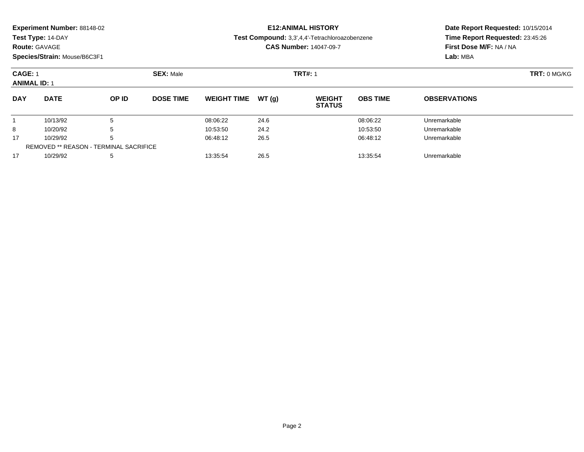| Experiment Number: 88148-02 |  |  |
|-----------------------------|--|--|
|-----------------------------|--|--|

**Route:** GAVAGE

**Species/Strain:** Mouse/B6C3F1

# **E12:ANIMAL HISTORY**

**Test Compound:** 3,3',4,4'-Tetrachloroazobenzene

**CAS Number:** 14047-09-7

| <b>CAGE: 1</b><br><b>ANIMAL ID: 1</b> |                                               |              | <b>SEX: Male</b> |                    |       | <b>TRT#: 1</b>                 |                 |                     | $TRT: 0$ MG/KG |  |  |
|---------------------------------------|-----------------------------------------------|--------------|------------------|--------------------|-------|--------------------------------|-----------------|---------------------|----------------|--|--|
| <b>DAY</b>                            | <b>DATE</b>                                   | <b>OP ID</b> | <b>DOSE TIME</b> | <b>WEIGHT TIME</b> | WT(a) | <b>WEIGHT</b><br><b>STATUS</b> | <b>OBS TIME</b> | <b>OBSERVATIONS</b> |                |  |  |
|                                       | 10/13/92                                      | 5            |                  | 08:06:22           | 24.6  |                                | 08:06:22        | Unremarkable        |                |  |  |
| 8                                     | 10/20/92                                      | 5            |                  | 10:53:50           | 24.2  |                                | 10:53:50        | Unremarkable        |                |  |  |
| 17                                    | 10/29/92                                      | 5            |                  | 06:48:12           | 26.5  |                                | 06:48:12        | Unremarkable        |                |  |  |
|                                       | <b>REMOVED ** REASON - TERMINAL SACRIFICE</b> |              |                  |                    |       |                                |                 |                     |                |  |  |
| 17                                    | 10/29/92                                      | 5            |                  | 13:35:54           | 26.5  |                                | 13:35:54        | Unremarkable        |                |  |  |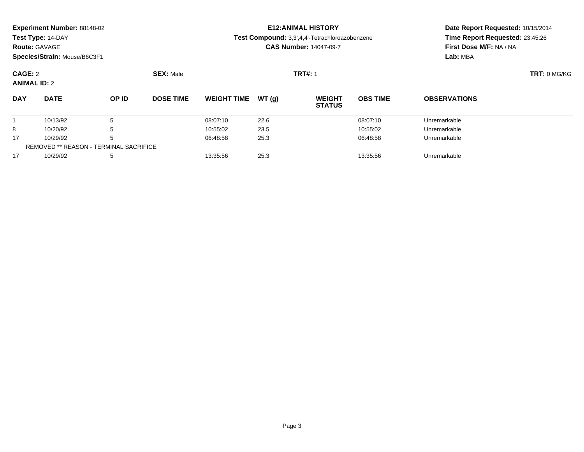|  | Experiment Number: 88148-02 |
|--|-----------------------------|
|--|-----------------------------|

**Route:** GAVAGE

**Species/Strain:** Mouse/B6C3F1

### **E12:ANIMAL HISTORY**

**Test Compound:** 3,3',4,4'-Tetrachloroazobenzene

**CAS Number:** 14047-09-7

| CAGE: 2<br><b>ANIMAL ID: 2</b> |                                               | <b>SEX: Male</b> |                  |                    |       | <b>TRT#: 1</b>                 |                 |                     |  |
|--------------------------------|-----------------------------------------------|------------------|------------------|--------------------|-------|--------------------------------|-----------------|---------------------|--|
| <b>DAY</b>                     | <b>DATE</b>                                   | OP ID            | <b>DOSE TIME</b> | <b>WEIGHT TIME</b> | WT(q) | <b>WEIGHT</b><br><b>STATUS</b> | <b>OBS TIME</b> | <b>OBSERVATIONS</b> |  |
|                                | 10/13/92                                      | .5               |                  | 08:07:10           | 22.6  |                                | 08:07:10        | Unremarkable        |  |
| 8                              | 10/20/92                                      | 5                |                  | 10:55:02           | 23.5  |                                | 10:55:02        | Unremarkable        |  |
| 17                             | 10/29/92                                      | 5                |                  | 06:48:58           | 25.3  |                                | 06:48:58        | Unremarkable        |  |
|                                | <b>REMOVED ** REASON - TERMINAL SACRIFICE</b> |                  |                  |                    |       |                                |                 |                     |  |
| 17                             | 10/29/92                                      | 5                |                  | 13:35:56           | 25.3  |                                | 13:35:56        | Unremarkable        |  |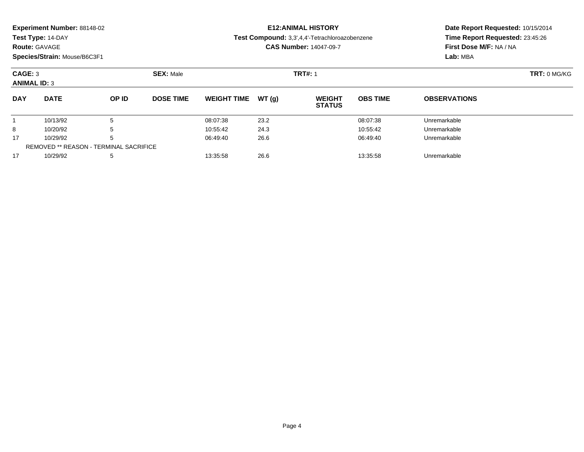**Route:** GAVAGE

**Species/Strain:** Mouse/B6C3F1

# **E12:ANIMAL HISTORY**

**Test Compound:** 3,3',4,4'-Tetrachloroazobenzene

**CAS Number:** 14047-09-7

| CAGE: 3<br><b>ANIMAL ID: 3</b> |                                               | <b>SEX: Male</b> |                  |                    | <b>TRT#: 1</b> | <b>TRT: 0 MG/KG</b>            |                 |                     |  |  |  |
|--------------------------------|-----------------------------------------------|------------------|------------------|--------------------|----------------|--------------------------------|-----------------|---------------------|--|--|--|
| <b>DAY</b>                     | <b>DATE</b>                                   | OP ID            | <b>DOSE TIME</b> | <b>WEIGHT TIME</b> | WT(a)          | <b>WEIGHT</b><br><b>STATUS</b> | <b>OBS TIME</b> | <b>OBSERVATIONS</b> |  |  |  |
|                                | 10/13/92                                      | 5                |                  | 08:07:38           | 23.2           |                                | 08:07:38        | Unremarkable        |  |  |  |
| 8                              | 10/20/92                                      | 5                |                  | 10:55:42           | 24.3           |                                | 10:55:42        | Unremarkable        |  |  |  |
| 17                             | 10/29/92                                      | 5                |                  | 06:49:40           | 26.6           |                                | 06:49:40        | Unremarkable        |  |  |  |
|                                | <b>REMOVED ** REASON - TERMINAL SACRIFICE</b> |                  |                  |                    |                |                                |                 |                     |  |  |  |
| 17                             | 10/29/92                                      | 5                |                  | 13:35:58           | 26.6           |                                | 13:35:58        | Unremarkable        |  |  |  |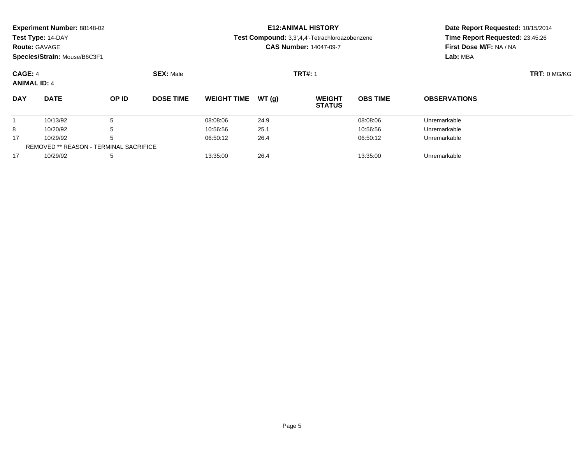| Experiment Number: 88148-02 |  |  |
|-----------------------------|--|--|
|-----------------------------|--|--|

**Route:** GAVAGE

**Species/Strain:** Mouse/B6C3F1

## **E12:ANIMAL HISTORY**

**Test Compound:** 3,3',4,4'-Tetrachloroazobenzene

**CAS Number:** 14047-09-7

| CAGE: 4<br><b>ANIMAL ID: 4</b> |                                               | <b>SEX: Male</b> |                  |                    | <b>TRT#: 1</b> | $TRT: 0$ MG/KG                 |                 |                     |  |  |  |
|--------------------------------|-----------------------------------------------|------------------|------------------|--------------------|----------------|--------------------------------|-----------------|---------------------|--|--|--|
| <b>DAY</b>                     | <b>DATE</b>                                   | <b>OP ID</b>     | <b>DOSE TIME</b> | <b>WEIGHT TIME</b> | WT(a)          | <b>WEIGHT</b><br><b>STATUS</b> | <b>OBS TIME</b> | <b>OBSERVATIONS</b> |  |  |  |
|                                | 10/13/92                                      | 5                |                  | 08:08:06           | 24.9           |                                | 08:08:06        | Unremarkable        |  |  |  |
| 8                              | 10/20/92                                      | 5                |                  | 10:56:56           | 25.1           |                                | 10:56:56        | Unremarkable        |  |  |  |
| 17                             | 10/29/92                                      | 5                |                  | 06:50:12           | 26.4           |                                | 06:50:12        | Unremarkable        |  |  |  |
|                                | <b>REMOVED ** REASON - TERMINAL SACRIFICE</b> |                  |                  |                    |                |                                |                 |                     |  |  |  |
| 17                             | 10/29/92                                      | 5                |                  | 13:35:00           | 26.4           |                                | 13:35:00        | Unremarkable        |  |  |  |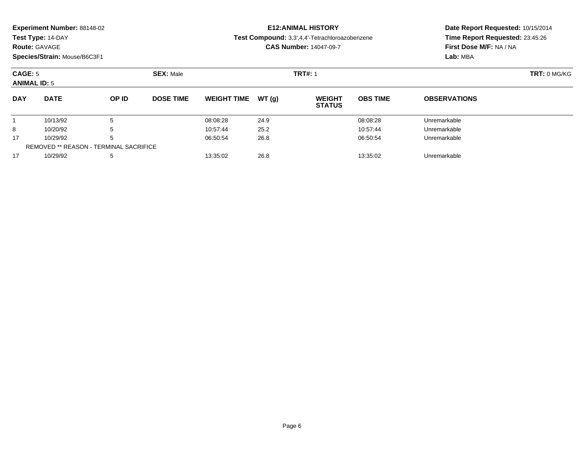|  | Experiment Number: 88148-02 |
|--|-----------------------------|
|--|-----------------------------|

### **Route:** GAVAGE

**Species/Strain:** Mouse/B6C3F1

## **E12:ANIMAL HISTORY**

#### **Test Compound:** 3,3',4,4'-Tetrachloroazobenzene

**CAS Number:** 14047-09-7

| CAGE: 5<br><b>ANIMAL ID: 5</b> |                                               | <b>SEX: Male</b> |                  |                    | <b>TRT#: 1</b> |                                |                 | TRT: 0 MG/KG        |  |
|--------------------------------|-----------------------------------------------|------------------|------------------|--------------------|----------------|--------------------------------|-----------------|---------------------|--|
| <b>DAY</b>                     | <b>DATE</b>                                   | OP ID            | <b>DOSE TIME</b> | <b>WEIGHT TIME</b> | WT(g)          | <b>WEIGHT</b><br><b>STATUS</b> | <b>OBS TIME</b> | <b>OBSERVATIONS</b> |  |
|                                | 10/13/92                                      | đ                |                  | 08:08:28           | 24.9           |                                | 08:08:28        | Unremarkable        |  |
| 8                              | 10/20/92                                      | 5                |                  | 10:57:44           | 25.2           |                                | 10:57:44        | Unremarkable        |  |
| 17                             | 10/29/92                                      | 5                |                  | 06:50:54           | 26.8           |                                | 06:50:54        | Unremarkable        |  |
|                                | <b>REMOVED ** REASON - TERMINAL SACRIFICE</b> |                  |                  |                    |                |                                |                 |                     |  |
| 17                             | 10/29/92                                      | 5                |                  | 13:35:02           | 26.8           |                                | 13:35:02        | Unremarkable        |  |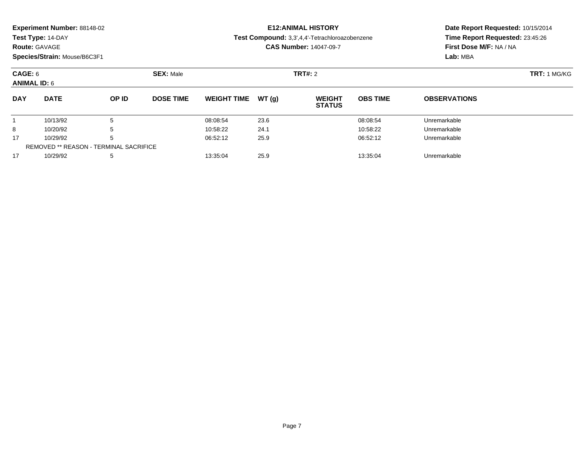### **Route:** GAVAGE

**Species/Strain:** Mouse/B6C3F1

### **E12:ANIMAL HISTORY**

#### **Test Compound:** 3,3',4,4'-Tetrachloroazobenzene

**CAS Number:** 14047-09-7

| CAGE: 6<br><b>ANIMAL ID: 6</b> |                                               |       | <b>SEX: Male</b> |                    |       | <b>TRT#: 2</b>                 | <b>TRT: 1 MG/KG</b> |                     |  |
|--------------------------------|-----------------------------------------------|-------|------------------|--------------------|-------|--------------------------------|---------------------|---------------------|--|
| <b>DAY</b>                     | <b>DATE</b>                                   | OP ID | <b>DOSE TIME</b> | <b>WEIGHT TIME</b> | WT(g) | <b>WEIGHT</b><br><b>STATUS</b> | <b>OBS TIME</b>     | <b>OBSERVATIONS</b> |  |
|                                | 10/13/92                                      | 5     |                  | 08:08:54           | 23.6  |                                | 08:08:54            | Unremarkable        |  |
| 8                              | 10/20/92                                      | 5     |                  | 10:58:22           | 24.1  |                                | 10:58:22            | Unremarkable        |  |
| 17                             | 10/29/92                                      | 5     |                  | 06:52:12           | 25.9  |                                | 06:52:12            | Unremarkable        |  |
|                                | <b>REMOVED ** REASON - TERMINAL SACRIFICE</b> |       |                  |                    |       |                                |                     |                     |  |
| 17                             | 10/29/92                                      | 5     |                  | 13:35:04           | 25.9  |                                | 13:35:04            | Unremarkable        |  |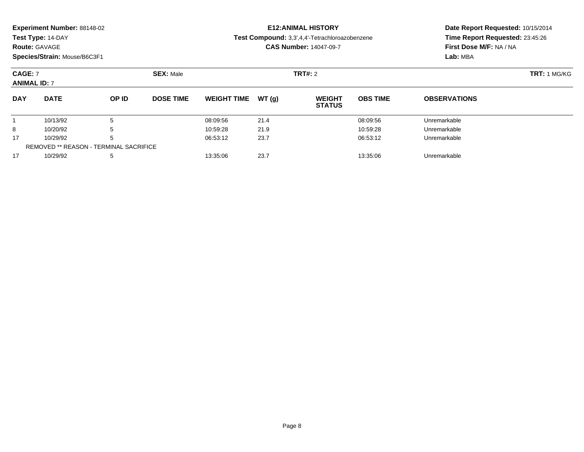| Experiment Number: 88148-02 |
|-----------------------------|
|-----------------------------|

**Route:** GAVAGE

**Species/Strain:** Mouse/B6C3F1

### **E12:ANIMAL HISTORY**

**Test Compound:** 3,3',4,4'-Tetrachloroazobenzene

**CAS Number:** 14047-09-7

| <b>CAGE: 7</b><br><b>ANIMAL ID: 7</b> |                                               |       | <b>SEX: Male</b> |                    |        | <b>TRT#:</b> 2                 | <b>TRT:</b> 1 MG/KG |                     |  |
|---------------------------------------|-----------------------------------------------|-------|------------------|--------------------|--------|--------------------------------|---------------------|---------------------|--|
| <b>DAY</b>                            | <b>DATE</b>                                   | OP ID | <b>DOSE TIME</b> | <b>WEIGHT TIME</b> | WT (q) | <b>WEIGHT</b><br><b>STATUS</b> | <b>OBS TIME</b>     | <b>OBSERVATIONS</b> |  |
|                                       | 10/13/92                                      |       |                  | 08:09:56           | 21.4   |                                | 08:09:56            | Unremarkable        |  |
| 8                                     | 10/20/92                                      | b     |                  | 10:59:28           | 21.9   |                                | 10:59:28            | Unremarkable        |  |
| 17                                    | 10/29/92                                      | b     |                  | 06:53:12           | 23.7   |                                | 06:53:12            | Unremarkable        |  |
|                                       | <b>REMOVED ** REASON - TERMINAL SACRIFICE</b> |       |                  |                    |        |                                |                     |                     |  |
| 17                                    | 10/29/92                                      | 5     |                  | 13:35:06           | 23.7   |                                | 13:35:06            | Unremarkable        |  |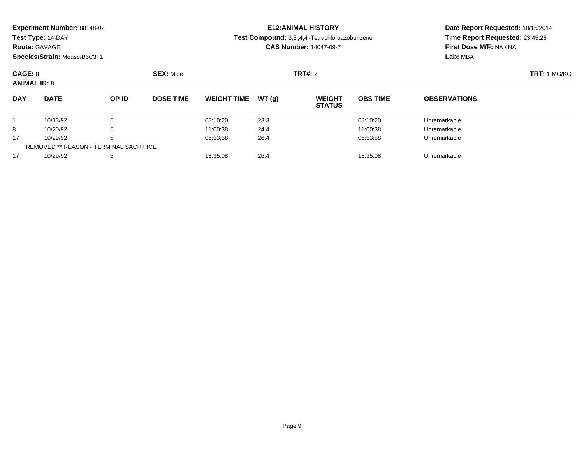**Route:** GAVAGE

**Species/Strain:** Mouse/B6C3F1

## **E12:ANIMAL HISTORY**

**Test Compound:** 3,3',4,4'-Tetrachloroazobenzene

**CAS Number:** 14047-09-7

| CAGE: 8<br><b>ANIMAL ID: 8</b> |                                               |       | <b>SEX: Male</b> |                    |       | <b>TRT#:</b> 2                 | <b>TRT: 1 MG/KG</b> |                     |  |
|--------------------------------|-----------------------------------------------|-------|------------------|--------------------|-------|--------------------------------|---------------------|---------------------|--|
| <b>DAY</b>                     | <b>DATE</b>                                   | OP ID | <b>DOSE TIME</b> | <b>WEIGHT TIME</b> | WT(a) | <b>WEIGHT</b><br><b>STATUS</b> | <b>OBS TIME</b>     | <b>OBSERVATIONS</b> |  |
|                                | 10/13/92                                      | 5     |                  | 08:10:20           | 23.3  |                                | 08:10:20            | Unremarkable        |  |
| 8                              | 10/20/92                                      | 5     |                  | 11:00:38           | 24.4  |                                | 11:00:38            | Unremarkable        |  |
| 17                             | 10/29/92                                      | 5     |                  | 06:53:58           | 26.4  |                                | 06:53:58            | Unremarkable        |  |
|                                | <b>REMOVED ** REASON - TERMINAL SACRIFICE</b> |       |                  |                    |       |                                |                     |                     |  |
| 17                             | 10/29/92                                      | 5     |                  | 13:35:08           | 26.4  |                                | 13:35:08            | Unremarkable        |  |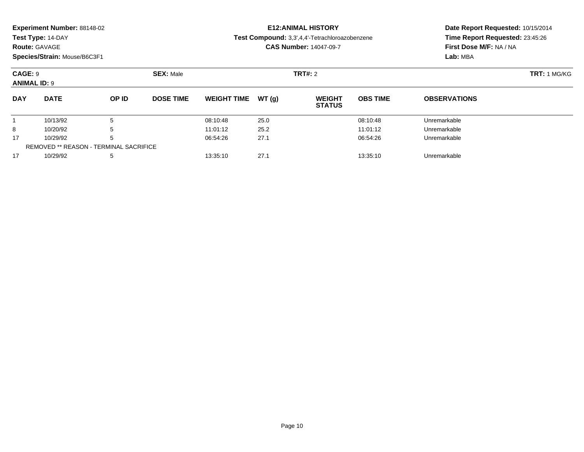| Experiment Number: 88148-02 |  |  |
|-----------------------------|--|--|
|-----------------------------|--|--|

### **Route:** GAVAGE

**Species/Strain:** Mouse/B6C3F1

### **E12:ANIMAL HISTORY**

#### **Test Compound:** 3,3',4,4'-Tetrachloroazobenzene

**CAS Number:** 14047-09-7

| CAGE: 9<br><b>ANIMAL ID: 9</b> |                                               |       | <b>SEX: Male</b> |                    |       | <b>TRT#: 2</b>                 | <b>TRT: 1 MG/KG</b> |                     |  |
|--------------------------------|-----------------------------------------------|-------|------------------|--------------------|-------|--------------------------------|---------------------|---------------------|--|
| <b>DAY</b>                     | <b>DATE</b>                                   | OP ID | <b>DOSE TIME</b> | <b>WEIGHT TIME</b> | WT(g) | <b>WEIGHT</b><br><b>STATUS</b> | <b>OBS TIME</b>     | <b>OBSERVATIONS</b> |  |
|                                | 10/13/92                                      | 5     |                  | 08:10:48           | 25.0  |                                | 08:10:48            | Unremarkable        |  |
| 8                              | 10/20/92                                      | 5     |                  | 11:01:12           | 25.2  |                                | 11:01:12            | Unremarkable        |  |
| 17                             | 10/29/92                                      | 5     |                  | 06:54:26           | 27.1  |                                | 06:54:26            | Unremarkable        |  |
|                                | <b>REMOVED ** REASON - TERMINAL SACRIFICE</b> |       |                  |                    |       |                                |                     |                     |  |
| 17                             | 10/29/92                                      | 5     |                  | 13:35:10           | 27.1  |                                | 13:35:10            | Unremarkable        |  |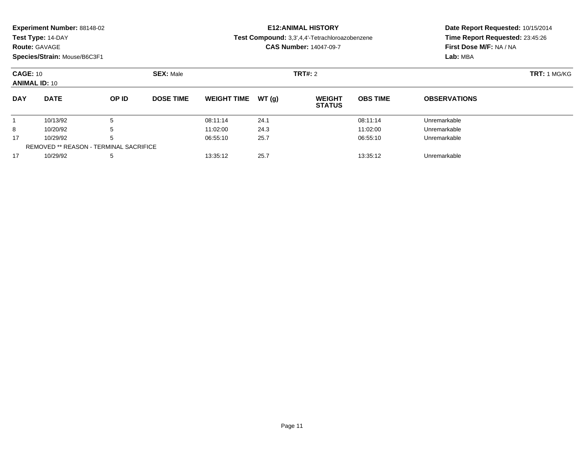| Experiment Number: 88148-02 |
|-----------------------------|
|-----------------------------|

### **Route:** GAVAGE

**Species/Strain:** Mouse/B6C3F1

### **E12:ANIMAL HISTORY**

**Test Compound:** 3,3',4,4'-Tetrachloroazobenzene

**CAS Number:** 14047-09-7

| <b>CAGE: 10</b><br><b>ANIMAL ID: 10</b> |                                               |              | <b>SEX: Male</b> |                     |      | TRT#: 2                        | <b>TRT: 1 MG/KG</b> |                     |  |
|-----------------------------------------|-----------------------------------------------|--------------|------------------|---------------------|------|--------------------------------|---------------------|---------------------|--|
| <b>DAY</b>                              | <b>DATE</b>                                   | <b>OP ID</b> | <b>DOSE TIME</b> | WEIGHT TIME $WT(g)$ |      | <b>WEIGHT</b><br><b>STATUS</b> | <b>OBS TIME</b>     | <b>OBSERVATIONS</b> |  |
|                                         | 10/13/92                                      |              |                  | 08:11:14            | 24.1 |                                | 08:11:14            | Unremarkable        |  |
| 8                                       | 10/20/92                                      |              |                  | 11:02:00            | 24.3 |                                | 11:02:00            | Unremarkable        |  |
| 17                                      | 10/29/92                                      |              |                  | 06:55:10            | 25.7 |                                | 06:55:10            | Unremarkable        |  |
|                                         | <b>REMOVED ** REASON - TERMINAL SACRIFICE</b> |              |                  |                     |      |                                |                     |                     |  |
| 17                                      | 10/29/92                                      |              |                  | 13:35:12            | 25.7 |                                | 13:35:12            | Unremarkable        |  |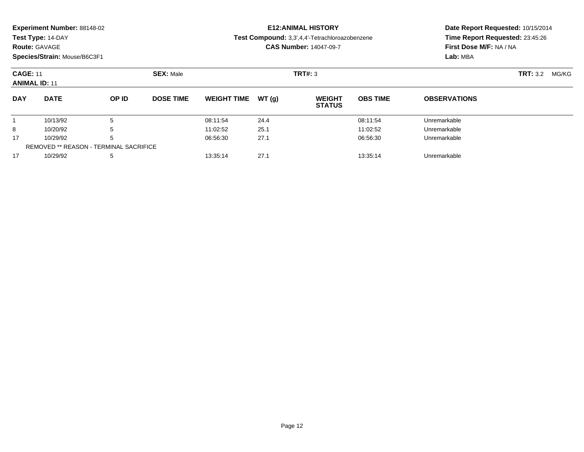| <b>Experiment Number: 88148-02</b> |  |
|------------------------------------|--|
|------------------------------------|--|

### **Route:** GAVAGE

**Species/Strain:** Mouse/B6C3F1

## **E12:ANIMAL HISTORY**

**Test Compound:** 3,3',4,4'-Tetrachloroazobenzene

**CAS Number:** 14047-09-7

| <b>CAGE: 11</b><br><b>ANIMAL ID: 11</b> |                                               |       | <b>SEX: Male</b> |                     |      | <b>TRT#: 3</b>                 | <b>TRT:</b> 3.2 | MG/KG               |  |  |
|-----------------------------------------|-----------------------------------------------|-------|------------------|---------------------|------|--------------------------------|-----------------|---------------------|--|--|
| <b>DAY</b>                              | <b>DATE</b>                                   | OP ID | <b>DOSE TIME</b> | WEIGHT TIME $WT(q)$ |      | <b>WEIGHT</b><br><b>STATUS</b> | <b>OBS TIME</b> | <b>OBSERVATIONS</b> |  |  |
|                                         | 10/13/92                                      |       |                  | 08:11:54            | 24.4 |                                | 08:11:54        | Unremarkable        |  |  |
| 8                                       | 10/20/92                                      |       |                  | 11:02:52            | 25.1 |                                | 11:02:52        | Unremarkable        |  |  |
| 17                                      | 10/29/92                                      |       |                  | 06:56:30            | 27.1 |                                | 06:56:30        | Unremarkable        |  |  |
|                                         | <b>REMOVED ** REASON - TERMINAL SACRIFICE</b> |       |                  |                     |      |                                |                 |                     |  |  |
| 17                                      | 10/29/92                                      |       |                  | 13:35:14            | 27.1 |                                | 13:35:14        | Unremarkable        |  |  |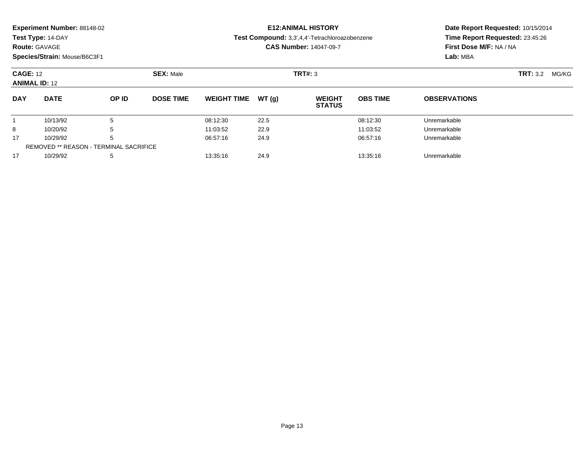| <b>Experiment Number: 88148-02</b> |  |
|------------------------------------|--|
|------------------------------------|--|

### **Route:** GAVAGE

**Species/Strain:** Mouse/B6C3F1

### **E12:ANIMAL HISTORY**

**Test Compound:** 3,3',4,4'-Tetrachloroazobenzene

**CAS Number:** 14047-09-7

| <b>CAGE: 12</b><br><b>ANIMAL ID: 12</b> |                                               |       | <b>SEX: Male</b> |                     |      | <b>TRT#: 3</b>                 |                 |                     | <b>TRT:</b> 3.2 MG/KG |
|-----------------------------------------|-----------------------------------------------|-------|------------------|---------------------|------|--------------------------------|-----------------|---------------------|-----------------------|
| <b>DAY</b>                              | <b>DATE</b>                                   | OP ID | <b>DOSE TIME</b> | WEIGHT TIME $WT(q)$ |      | <b>WEIGHT</b><br><b>STATUS</b> | <b>OBS TIME</b> | <b>OBSERVATIONS</b> |                       |
|                                         | 10/13/92                                      |       |                  | 08:12:30            | 22.5 |                                | 08:12:30        | Unremarkable        |                       |
| 8                                       | 10/20/92                                      |       |                  | 11:03:52            | 22.9 |                                | 11:03:52        | Unremarkable        |                       |
| 17                                      | 10/29/92                                      |       |                  | 06:57:16            | 24.9 |                                | 06:57:16        | Unremarkable        |                       |
|                                         | <b>REMOVED ** REASON - TERMINAL SACRIFICE</b> |       |                  |                     |      |                                |                 |                     |                       |
| 17                                      | 10/29/92                                      |       |                  | 13:35:16            | 24.9 |                                | 13:35:16        | Unremarkable        |                       |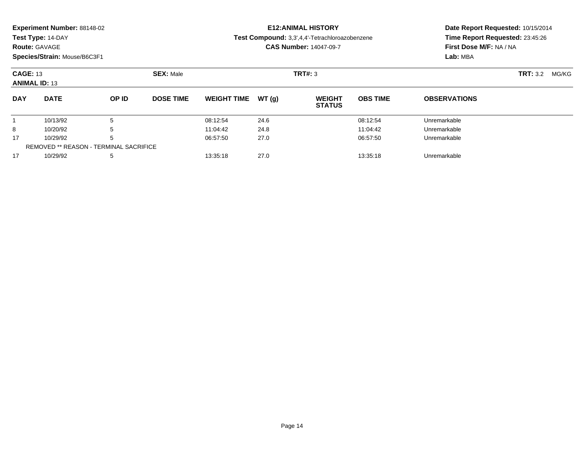| <b>Experiment Number: 88148-02</b> |
|------------------------------------|
|------------------------------------|

**Route:** GAVAGE

**Species/Strain:** Mouse/B6C3F1

### **E12:ANIMAL HISTORY**

**Test Compound:** 3,3',4,4'-Tetrachloroazobenzene

**CAS Number:** 14047-09-7

| <b>CAGE: 13</b><br><b>ANIMAL ID: 13</b> |                                               |       | <b>SEX: Male</b> |                    |        | <b>TRT#: 3</b>                 |                 |                     | <b>TRT:</b> 3.2 MG/KG |  |
|-----------------------------------------|-----------------------------------------------|-------|------------------|--------------------|--------|--------------------------------|-----------------|---------------------|-----------------------|--|
| <b>DAY</b>                              | <b>DATE</b>                                   | OP ID | <b>DOSE TIME</b> | <b>WEIGHT TIME</b> | WT (q) | <b>WEIGHT</b><br><b>STATUS</b> | <b>OBS TIME</b> | <b>OBSERVATIONS</b> |                       |  |
|                                         | 10/13/92                                      | b     |                  | 08:12:54           | 24.6   |                                | 08:12:54        | Unremarkable        |                       |  |
| 8                                       | 10/20/92                                      | b     |                  | 11:04:42           | 24.8   |                                | 11:04:42        | Unremarkable        |                       |  |
| 17                                      | 10/29/92                                      | b     |                  | 06:57:50           | 27.0   |                                | 06:57:50        | Unremarkable        |                       |  |
|                                         | <b>REMOVED ** REASON - TERMINAL SACRIFICE</b> |       |                  |                    |        |                                |                 |                     |                       |  |
| 17                                      | 10/29/92                                      | 5     |                  | 13:35:18           | 27.0   |                                | 13:35:18        | Unremarkable        |                       |  |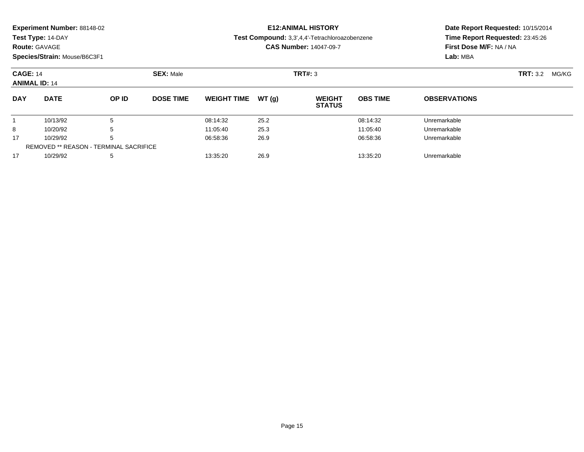| <b>Experiment Number: 88148-02</b> | E12:ANIMAL HISTO                 |
|------------------------------------|----------------------------------|
| Test Type: 14-DAY                  | Test Compound: 3,3',4,4'-Tetracl |

#### **Route:** GAVAGE

**Species/Strain:** Mouse/B6C3F1

### **E12:ANIMAL HISTORY**

#### **Test Compound:** 3,3',4,4'-Tetrachloroazobenzene

**CAS Number:** 14047-09-7

| <b>CAGE: 14</b><br><b>ANIMAL ID: 14</b> |                                               |              | <b>SEX: Male</b> |                    |        | <b>TRT#: 3</b>                 |                 |                     | <b>TRT:</b> 3.2 | MG/KG |
|-----------------------------------------|-----------------------------------------------|--------------|------------------|--------------------|--------|--------------------------------|-----------------|---------------------|-----------------|-------|
| <b>DAY</b>                              | <b>DATE</b>                                   | <b>OP ID</b> | <b>DOSE TIME</b> | <b>WEIGHT TIME</b> | WT (q) | <b>WEIGHT</b><br><b>STATUS</b> | <b>OBS TIME</b> | <b>OBSERVATIONS</b> |                 |       |
|                                         | 10/13/92                                      | 5            |                  | 08:14:32           | 25.2   |                                | 08:14:32        | Unremarkable        |                 |       |
| 8                                       | 10/20/92                                      | 5            |                  | 11:05:40           | 25.3   |                                | 11:05:40        | Unremarkable        |                 |       |
| 17                                      | 10/29/92                                      | 5            |                  | 06:58:36           | 26.9   |                                | 06:58:36        | Unremarkable        |                 |       |
|                                         | <b>REMOVED ** REASON - TERMINAL SACRIFICE</b> |              |                  |                    |        |                                |                 |                     |                 |       |
| 17                                      | 10/29/92                                      | 5            |                  | 13:35:20           | 26.9   |                                | 13:35:20        | Unremarkable        |                 |       |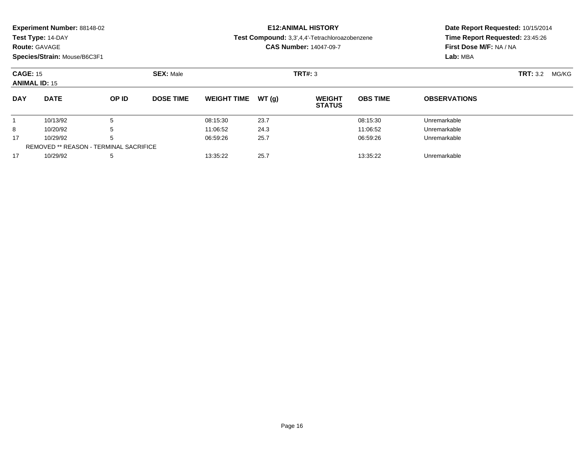| <b>Experiment Number: 88148-02</b> |
|------------------------------------|
|------------------------------------|

### **Route:** GAVAGE

**Species/Strain:** Mouse/B6C3F1

## **E12:ANIMAL HISTORY**

**Test Compound:** 3,3',4,4'-Tetrachloroazobenzene

**CAS Number:** 14047-09-7

| <b>CAGE: 15</b><br><b>ANIMAL ID: 15</b> |                                               |       | <b>SEX: Male</b> |                     |      | <b>TRT#: 3</b>                 |                 |                     | <b>TRT:</b> 3.2<br>MG/KG |
|-----------------------------------------|-----------------------------------------------|-------|------------------|---------------------|------|--------------------------------|-----------------|---------------------|--------------------------|
| <b>DAY</b>                              | <b>DATE</b>                                   | OP ID | <b>DOSE TIME</b> | WEIGHT TIME $WT(q)$ |      | <b>WEIGHT</b><br><b>STATUS</b> | <b>OBS TIME</b> | <b>OBSERVATIONS</b> |                          |
|                                         | 10/13/92                                      | 5     |                  | 08:15:30            | 23.7 |                                | 08:15:30        | Unremarkable        |                          |
| 8                                       | 10/20/92                                      |       |                  | 11:06:52            | 24.3 |                                | 11:06:52        | Unremarkable        |                          |
| 17                                      | 10/29/92                                      | 5     |                  | 06:59:26            | 25.7 |                                | 06:59:26        | Unremarkable        |                          |
|                                         | <b>REMOVED ** REASON - TERMINAL SACRIFICE</b> |       |                  |                     |      |                                |                 |                     |                          |
| 17                                      | 10/29/92                                      | 5     |                  | 13:35:22            | 25.7 |                                | 13:35:22        | Unremarkable        |                          |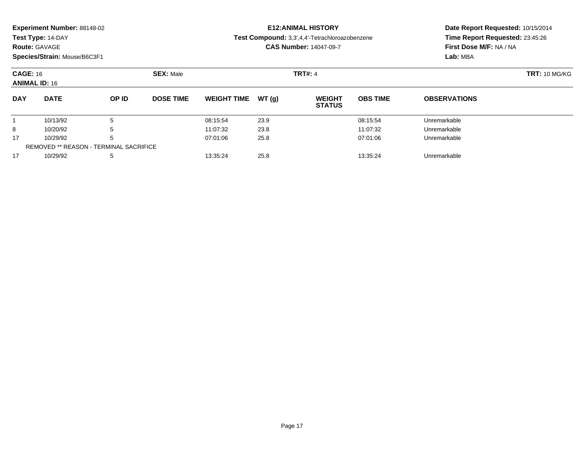| Experiment Number: 88148-02 |  |  |
|-----------------------------|--|--|
|-----------------------------|--|--|

### **Route:** GAVAGE

**Species/Strain:** Mouse/B6C3F1

### **E12:ANIMAL HISTORY**

**Test Compound:** 3,3',4,4'-Tetrachloroazobenzene

**CAS Number:** 14047-09-7

| <b>CAGE: 16</b><br><b>ANIMAL ID: 16</b> |                                               |       | <b>SEX: Male</b> |                     |      | <b>TRT#: 4</b>                 |                 |                     | <b>TRT: 10 MG/KG</b> |
|-----------------------------------------|-----------------------------------------------|-------|------------------|---------------------|------|--------------------------------|-----------------|---------------------|----------------------|
| <b>DAY</b>                              | <b>DATE</b>                                   | OP ID | <b>DOSE TIME</b> | WEIGHT TIME $WT(g)$ |      | <b>WEIGHT</b><br><b>STATUS</b> | <b>OBS TIME</b> | <b>OBSERVATIONS</b> |                      |
|                                         | 10/13/92                                      |       |                  | 08:15:54            | 23.9 |                                | 08:15:54        | Unremarkable        |                      |
| 8                                       | 10/20/92                                      |       |                  | 11:07:32            | 23.8 |                                | 11:07:32        | Unremarkable        |                      |
| 17                                      | 10/29/92                                      | b     |                  | 07:01:06            | 25.8 |                                | 07:01:06        | Unremarkable        |                      |
|                                         | <b>REMOVED ** REASON - TERMINAL SACRIFICE</b> |       |                  |                     |      |                                |                 |                     |                      |
| 17                                      | 10/29/92                                      |       |                  | 13:35:24            | 25.8 |                                | 13:35:24        | Unremarkable        |                      |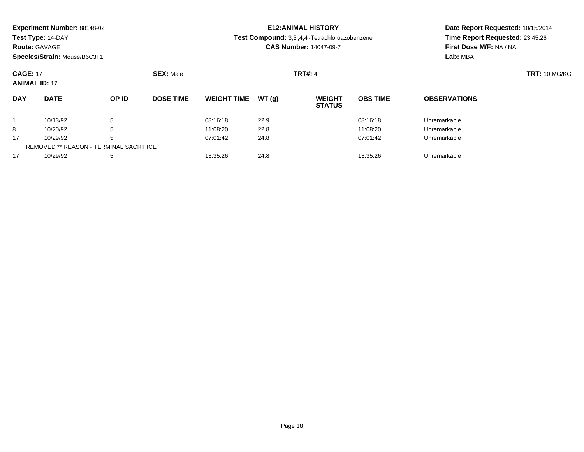| Experiment Number: 88148-02 |  |  |
|-----------------------------|--|--|
|-----------------------------|--|--|

### **Route:** GAVAGE

**Species/Strain:** Mouse/B6C3F1

## **E12:ANIMAL HISTORY**

#### **Test Compound:** 3,3',4,4'-Tetrachloroazobenzene

**CAS Number:** 14047-09-7

| <b>CAGE: 17</b><br><b>ANIMAL ID: 17</b> |                                               |       | <b>SEX: Male</b> |                    |        | <b>TRT#: 4</b>                 |                 |                     | <b>TRT: 10 MG/KG</b> |
|-----------------------------------------|-----------------------------------------------|-------|------------------|--------------------|--------|--------------------------------|-----------------|---------------------|----------------------|
| <b>DAY</b>                              | <b>DATE</b>                                   | OP ID | <b>DOSE TIME</b> | <b>WEIGHT TIME</b> | WT (a) | <b>WEIGHT</b><br><b>STATUS</b> | <b>OBS TIME</b> | <b>OBSERVATIONS</b> |                      |
|                                         | 10/13/92                                      |       |                  | 08:16:18           | 22.9   |                                | 08:16:18        | Unremarkable        |                      |
| 8                                       | 10/20/92                                      |       |                  | 11:08:20           | 22.8   |                                | 11:08:20        | Unremarkable        |                      |
| 17                                      | 10/29/92                                      |       |                  | 07:01:42           | 24.8   |                                | 07:01:42        | Unremarkable        |                      |
|                                         | <b>REMOVED ** REASON - TERMINAL SACRIFICE</b> |       |                  |                    |        |                                |                 |                     |                      |
| 17                                      | 10/29/92                                      |       |                  | 13:35:26           | 24.8   |                                | 13:35:26        | Unremarkable        |                      |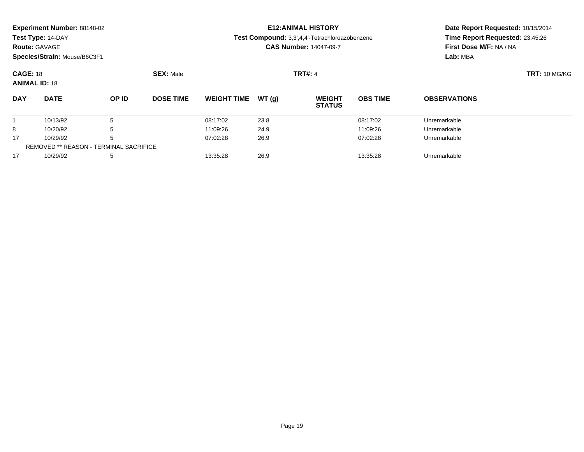|  | Experiment Number: 88148-02 |
|--|-----------------------------|
|--|-----------------------------|

**Route:** GAVAGE

**Species/Strain:** Mouse/B6C3F1

# **E12:ANIMAL HISTORY**

**Test Compound:** 3,3',4,4'-Tetrachloroazobenzene

**CAS Number:** 14047-09-7

| <b>CAGE: 18</b><br><b>ANIMAL ID: 18</b> |                                               |       | <b>SEX: Male</b> |                     |      | <b>TRT#: 4</b>                 |                 |                     | <b>TRT: 10 MG/KG</b> |
|-----------------------------------------|-----------------------------------------------|-------|------------------|---------------------|------|--------------------------------|-----------------|---------------------|----------------------|
| <b>DAY</b>                              | <b>DATE</b>                                   | OP ID | <b>DOSE TIME</b> | WEIGHT TIME $WT(g)$ |      | <b>WEIGHT</b><br><b>STATUS</b> | <b>OBS TIME</b> | <b>OBSERVATIONS</b> |                      |
|                                         | 10/13/92                                      |       |                  | 08:17:02            | 23.8 |                                | 08:17:02        | Unremarkable        |                      |
| 8                                       | 10/20/92                                      |       |                  | 11:09:26            | 24.9 |                                | 11:09:26        | Unremarkable        |                      |
| 17                                      | 10/29/92                                      | b     |                  | 07:02:28            | 26.9 |                                | 07:02:28        | Unremarkable        |                      |
|                                         | <b>REMOVED ** REASON - TERMINAL SACRIFICE</b> |       |                  |                     |      |                                |                 |                     |                      |
| 17                                      | 10/29/92                                      |       |                  | 13:35:28            | 26.9 |                                | 13:35:28        | Unremarkable        |                      |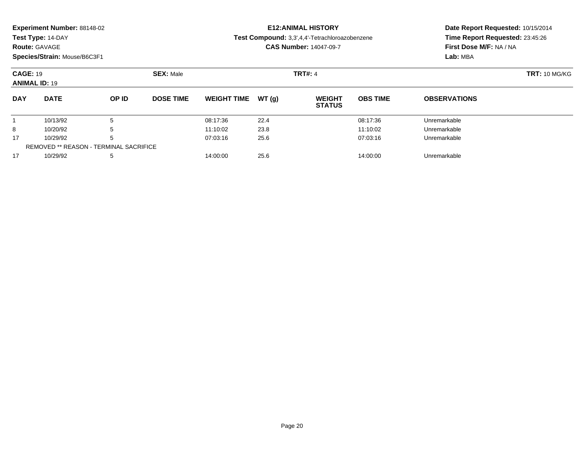|  |  | Experiment Number: 88148-02 |  |
|--|--|-----------------------------|--|
|--|--|-----------------------------|--|

### **Route:** GAVAGE

**Species/Strain:** Mouse/B6C3F1

### **E12:ANIMAL HISTORY**

#### **Test Compound:** 3,3',4,4'-Tetrachloroazobenzene

**CAS Number:** 14047-09-7

| <b>CAGE: 19</b><br><b>ANIMAL ID: 19</b> |                                               |       | <b>SEX: Male</b> |                    |        | <b>TRT#: 4</b>                 |                 |                     | <b>TRT: 10 MG/KG</b> |
|-----------------------------------------|-----------------------------------------------|-------|------------------|--------------------|--------|--------------------------------|-----------------|---------------------|----------------------|
| <b>DAY</b>                              | <b>DATE</b>                                   | OP ID | <b>DOSE TIME</b> | <b>WEIGHT TIME</b> | WT (q) | <b>WEIGHT</b><br><b>STATUS</b> | <b>OBS TIME</b> | <b>OBSERVATIONS</b> |                      |
|                                         | 10/13/92                                      |       |                  | 08:17:36           | 22.4   |                                | 08:17:36        | Unremarkable        |                      |
| 8                                       | 10/20/92                                      |       |                  | 11:10:02           | 23.8   |                                | 11:10:02        | Unremarkable        |                      |
| 17                                      | 10/29/92                                      |       |                  | 07:03:16           | 25.6   |                                | 07:03:16        | Unremarkable        |                      |
|                                         | <b>REMOVED ** REASON - TERMINAL SACRIFICE</b> |       |                  |                    |        |                                |                 |                     |                      |
| 17                                      | 10/29/92                                      |       |                  | 14:00:00           | 25.6   |                                | 14:00:00        | Unremarkable        |                      |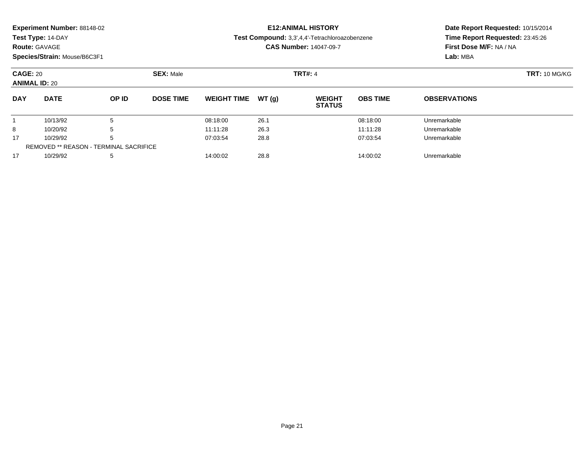|  |  | Experiment Number: 88148-02 |  |
|--|--|-----------------------------|--|
|--|--|-----------------------------|--|

### **Route:** GAVAGE

**Species/Strain:** Mouse/B6C3F1

# **E12:ANIMAL HISTORY**

**Test Compound:** 3,3',4,4'-Tetrachloroazobenzene

**CAS Number:** 14047-09-7

| <b>CAGE: 20</b><br><b>ANIMAL ID: 20</b> |                                               |       | <b>SEX: Male</b> |                    |       | <b>TRT#: 4</b>                 |                 |                     | <b>TRT: 10 MG/KG</b> |
|-----------------------------------------|-----------------------------------------------|-------|------------------|--------------------|-------|--------------------------------|-----------------|---------------------|----------------------|
| <b>DAY</b>                              | <b>DATE</b>                                   | OP ID | <b>DOSE TIME</b> | <b>WEIGHT TIME</b> | WT(g) | <b>WEIGHT</b><br><b>STATUS</b> | <b>OBS TIME</b> | <b>OBSERVATIONS</b> |                      |
|                                         | 10/13/92                                      | Ð     |                  | 08:18:00           | 26.1  |                                | 08:18:00        | Unremarkable        |                      |
| 8                                       | 10/20/92                                      | b     |                  | 11:11:28           | 26.3  |                                | 11:11:28        | Unremarkable        |                      |
| 17                                      | 10/29/92                                      | b     |                  | 07:03:54           | 28.8  |                                | 07:03:54        | Unremarkable        |                      |
|                                         | <b>REMOVED ** REASON - TERMINAL SACRIFICE</b> |       |                  |                    |       |                                |                 |                     |                      |
| 17                                      | 10/29/92                                      | 5     |                  | 14:00:02           | 28.8  |                                | 14:00:02        | Unremarkable        |                      |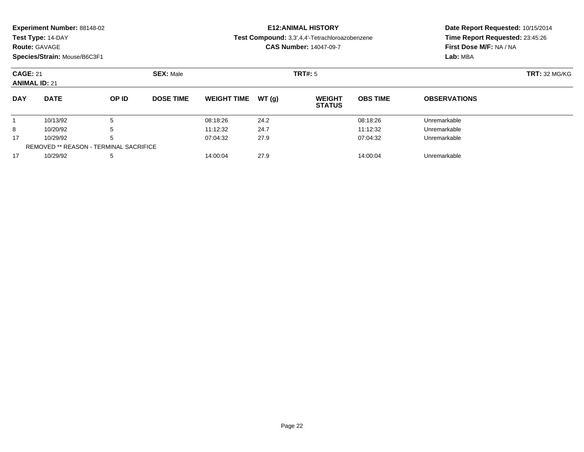|  |  | Experiment Number: 88148-02 |  |
|--|--|-----------------------------|--|
|--|--|-----------------------------|--|

### **Route:** GAVAGE

**Species/Strain:** Mouse/B6C3F1

# **E12:ANIMAL HISTORY**

**Test Compound:** 3,3',4,4'-Tetrachloroazobenzene

**CAS Number:** 14047-09-7

| <b>CAGE: 21</b><br><b>ANIMAL ID: 21</b> |                                               |              | <b>SEX: Male</b> |                     |      | TRT#: 5                        |                 |                     | <b>TRT: 32 MG/KG</b> |
|-----------------------------------------|-----------------------------------------------|--------------|------------------|---------------------|------|--------------------------------|-----------------|---------------------|----------------------|
| <b>DAY</b>                              | <b>DATE</b>                                   | <b>OP ID</b> | <b>DOSE TIME</b> | WEIGHT TIME $WT(g)$ |      | <b>WEIGHT</b><br><b>STATUS</b> | <b>OBS TIME</b> | <b>OBSERVATIONS</b> |                      |
|                                         | 10/13/92                                      |              |                  | 08:18:26            | 24.2 |                                | 08:18:26        | Unremarkable        |                      |
| 8                                       | 10/20/92                                      |              |                  | 11:12:32            | 24.7 |                                | 11:12:32        | Unremarkable        |                      |
| 17                                      | 10/29/92                                      |              |                  | 07:04:32            | 27.9 |                                | 07:04:32        | Unremarkable        |                      |
|                                         | <b>REMOVED ** REASON - TERMINAL SACRIFICE</b> |              |                  |                     |      |                                |                 |                     |                      |
| 17                                      | 10/29/92                                      |              |                  | 14:00:04            | 27.9 |                                | 14:00:04        | Unremarkable        |                      |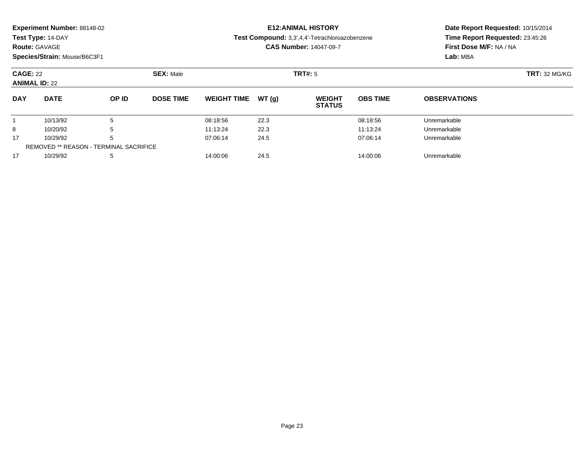| Experiment Number: 88148-02 |  |  |
|-----------------------------|--|--|
|-----------------------------|--|--|

### **Route:** GAVAGE

**Species/Strain:** Mouse/B6C3F1

## **E12:ANIMAL HISTORY**

**Test Compound:** 3,3',4,4'-Tetrachloroazobenzene

**CAS Number:** 14047-09-7

| <b>CAGE: 22</b><br><b>ANIMAL ID: 22</b> |                                        | <b>SEX: Male</b> |                  |                    | TRT#: 5 | <b>TRT: 32 MG/KG</b>           |                 |                     |  |
|-----------------------------------------|----------------------------------------|------------------|------------------|--------------------|---------|--------------------------------|-----------------|---------------------|--|
| <b>DAY</b>                              | <b>DATE</b>                            | OP ID            | <b>DOSE TIME</b> | <b>WEIGHT TIME</b> | WT(g)   | <b>WEIGHT</b><br><b>STATUS</b> | <b>OBS TIME</b> | <b>OBSERVATIONS</b> |  |
|                                         | 10/13/92                               |                  |                  | 08:18:56           | 22.3    |                                | 08:18:56        | Unremarkable        |  |
| 8                                       | 10/20/92                               | 5.               |                  | 11:13:24           | 22.3    |                                | 11:13:24        | Unremarkable        |  |
| 17                                      | 10/29/92                               | 5                |                  | 07:06:14           | 24.5    |                                | 07:06:14        | Unremarkable        |  |
|                                         | REMOVED ** REASON - TERMINAL SACRIFICE |                  |                  |                    |         |                                |                 |                     |  |
| 17                                      | 10/29/92                               | 5                |                  | 14:00:06           | 24.5    |                                | 14:00:06        | Unremarkable        |  |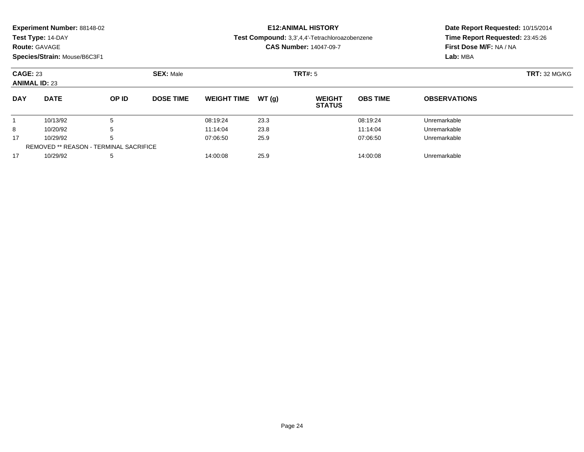|  |  | Experiment Number: 88148-02 |  |
|--|--|-----------------------------|--|
|--|--|-----------------------------|--|

### **Route:** GAVAGE

**Species/Strain:** Mouse/B6C3F1

# **E12:ANIMAL HISTORY**

#### **Test Compound:** 3,3',4,4'-Tetrachloroazobenzene

**CAS Number:** 14047-09-7

| <b>CAGE: 23</b><br><b>ANIMAL ID: 23</b> |                                               |              | <b>SEX: Male</b> |                    |       | <b>TRT#:</b> 5                 |                 |                     | <b>TRT: 32 MG/KG</b> |
|-----------------------------------------|-----------------------------------------------|--------------|------------------|--------------------|-------|--------------------------------|-----------------|---------------------|----------------------|
| <b>DAY</b>                              | <b>DATE</b>                                   | <b>OP ID</b> | <b>DOSE TIME</b> | <b>WEIGHT TIME</b> | WT(a) | <b>WEIGHT</b><br><b>STATUS</b> | <b>OBS TIME</b> | <b>OBSERVATIONS</b> |                      |
|                                         | 10/13/92                                      | 5            |                  | 08:19:24           | 23.3  |                                | 08:19:24        | Unremarkable        |                      |
| 8                                       | 10/20/92                                      | 5            |                  | 11:14:04           | 23.8  |                                | 11:14:04        | Unremarkable        |                      |
| 17                                      | 10/29/92                                      | 5            |                  | 07:06:50           | 25.9  |                                | 07:06:50        | Unremarkable        |                      |
|                                         | <b>REMOVED ** REASON - TERMINAL SACRIFICE</b> |              |                  |                    |       |                                |                 |                     |                      |
| 17                                      | 10/29/92                                      | 5            |                  | 14:00:08           | 25.9  |                                | 14:00:08        | Unremarkable        |                      |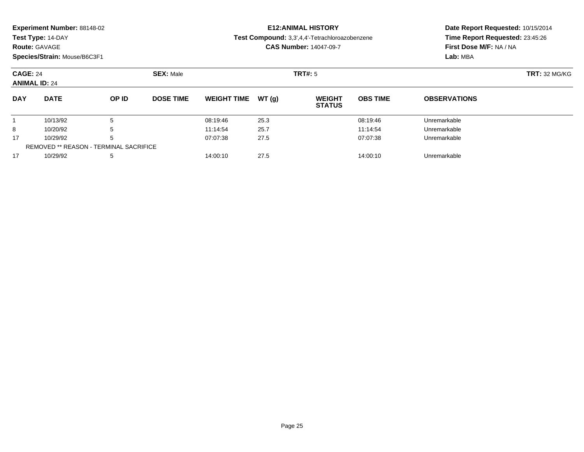| Experiment Number: 88148-02 |  |  |
|-----------------------------|--|--|
|-----------------------------|--|--|

### **Route:** GAVAGE

**Species/Strain:** Mouse/B6C3F1

## **E12:ANIMAL HISTORY**

**Test Compound:** 3,3',4,4'-Tetrachloroazobenzene

**CAS Number:** 14047-09-7

| <b>CAGE: 24</b><br><b>ANIMAL ID: 24</b> |                                               |       | <b>SEX: Male</b> |                    |        | <b>TRT#:</b> 5                 |                 |                     | <b>TRT:</b> 32 MG/KG |
|-----------------------------------------|-----------------------------------------------|-------|------------------|--------------------|--------|--------------------------------|-----------------|---------------------|----------------------|
| <b>DAY</b>                              | <b>DATE</b>                                   | OP ID | <b>DOSE TIME</b> | <b>WEIGHT TIME</b> | WT (a) | <b>WEIGHT</b><br><b>STATUS</b> | <b>OBS TIME</b> | <b>OBSERVATIONS</b> |                      |
|                                         | 10/13/92                                      |       |                  | 08:19:46           | 25.3   |                                | 08:19:46        | Unremarkable        |                      |
| 8                                       | 10/20/92                                      | b     |                  | 11:14:54           | 25.7   |                                | 11:14:54        | Unremarkable        |                      |
| 17                                      | 10/29/92                                      | b     |                  | 07:07:38           | 27.5   |                                | 07:07:38        | Unremarkable        |                      |
|                                         | <b>REMOVED ** REASON - TERMINAL SACRIFICE</b> |       |                  |                    |        |                                |                 |                     |                      |
| 17                                      | 10/29/92                                      | 5     |                  | 14:00:10           | 27.5   |                                | 14:00:10        | Unremarkable        |                      |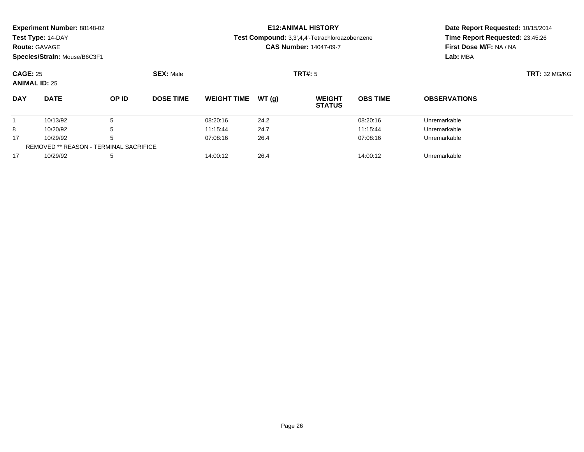| Experiment Number: 88148-02 |  |  |
|-----------------------------|--|--|
|-----------------------------|--|--|

### **Route:** GAVAGE

**Species/Strain:** Mouse/B6C3F1

### **E12:ANIMAL HISTORY**

#### **Test Compound:** 3,3',4,4'-Tetrachloroazobenzene

**CAS Number:** 14047-09-7

| <b>CAGE: 25</b><br><b>ANIMAL ID: 25</b> |                                               |              | <b>SEX: Male</b> |                    |        | TRT#: 5                        |                 |                     | <b>TRT: 32 MG/KG</b> |
|-----------------------------------------|-----------------------------------------------|--------------|------------------|--------------------|--------|--------------------------------|-----------------|---------------------|----------------------|
| <b>DAY</b>                              | <b>DATE</b>                                   | <b>OP ID</b> | <b>DOSE TIME</b> | <b>WEIGHT TIME</b> | WT (a) | <b>WEIGHT</b><br><b>STATUS</b> | <b>OBS TIME</b> | <b>OBSERVATIONS</b> |                      |
|                                         | 10/13/92                                      | 5            |                  | 08:20:16           | 24.2   |                                | 08:20:16        | Unremarkable        |                      |
| 8                                       | 10/20/92                                      | 5            |                  | 11:15:44           | 24.7   |                                | 11:15:44        | Unremarkable        |                      |
| 17                                      | 10/29/92                                      | 5            |                  | 07:08:16           | 26.4   |                                | 07:08:16        | Unremarkable        |                      |
|                                         | <b>REMOVED ** REASON - TERMINAL SACRIFICE</b> |              |                  |                    |        |                                |                 |                     |                      |
| 17                                      | 10/29/92                                      | -5           |                  | 14:00:12           | 26.4   |                                | 14:00:12        | Unremarkable        |                      |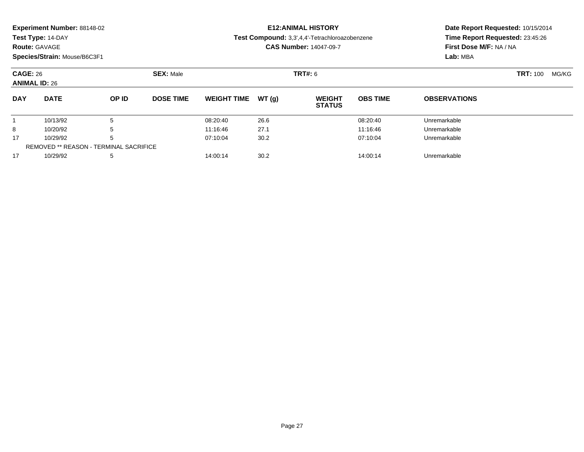|  |  | Experiment Number: 88148-02 |  |
|--|--|-----------------------------|--|
|--|--|-----------------------------|--|

### **Route:** GAVAGE

**Species/Strain:** Mouse/B6C3F1

### **E12:ANIMAL HISTORY**

#### **Test Compound:** 3,3',4,4'-Tetrachloroazobenzene

**CAS Number:** 14047-09-7

| <b>CAGE: 26</b><br><b>ANIMAL ID: 26</b> |                                               |       | <b>SEX: Male</b> |                    |        | <b>TRT#:</b> 6                 |                 |                     | <b>TRT:</b> 100 | MG/KG |
|-----------------------------------------|-----------------------------------------------|-------|------------------|--------------------|--------|--------------------------------|-----------------|---------------------|-----------------|-------|
| <b>DAY</b>                              | <b>DATE</b>                                   | OP ID | <b>DOSE TIME</b> | <b>WEIGHT TIME</b> | WT (a) | <b>WEIGHT</b><br><b>STATUS</b> | <b>OBS TIME</b> | <b>OBSERVATIONS</b> |                 |       |
|                                         | 10/13/92                                      | 5     |                  | 08:20:40           | 26.6   |                                | 08:20:40        | Unremarkable        |                 |       |
| 8                                       | 10/20/92                                      | 5     |                  | 11:16:46           | 27.1   |                                | 11:16:46        | Unremarkable        |                 |       |
| 17                                      | 10/29/92                                      | 5     |                  | 07:10:04           | 30.2   |                                | 07:10:04        | Unremarkable        |                 |       |
|                                         | <b>REMOVED ** REASON - TERMINAL SACRIFICE</b> |       |                  |                    |        |                                |                 |                     |                 |       |
| 17                                      | 10/29/92                                      | 5     |                  | 14:00:14           | 30.2   |                                | 14:00:14        | Unremarkable        |                 |       |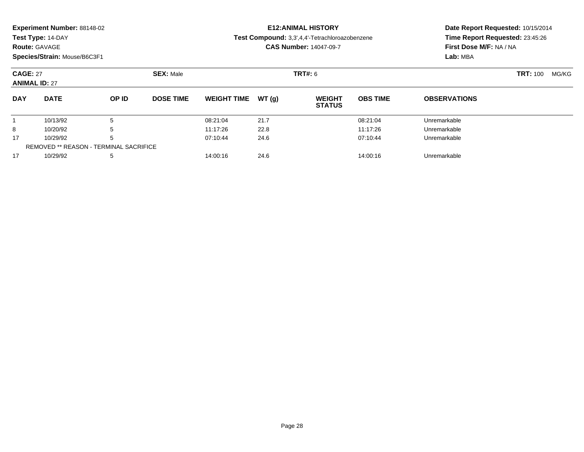|  |  | Experiment Number: 88148-02 |  |
|--|--|-----------------------------|--|
|--|--|-----------------------------|--|

### **Route:** GAVAGE

**Species/Strain:** Mouse/B6C3F1

# **E12:ANIMAL HISTORY**

**Test Compound:** 3,3',4,4'-Tetrachloroazobenzene

**CAS Number:** 14047-09-7

| <b>CAGE: 27</b><br><b>ANIMAL ID: 27</b> |                                               |       | <b>SEX: Male</b> |                    |       | <b>TRT#:</b> 6                 |                 |                     | <b>TRT: 100</b> | MG/KG |
|-----------------------------------------|-----------------------------------------------|-------|------------------|--------------------|-------|--------------------------------|-----------------|---------------------|-----------------|-------|
| <b>DAY</b>                              | <b>DATE</b>                                   | OP ID | <b>DOSE TIME</b> | <b>WEIGHT TIME</b> | WT(q) | <b>WEIGHT</b><br><b>STATUS</b> | <b>OBS TIME</b> | <b>OBSERVATIONS</b> |                 |       |
|                                         | 10/13/92                                      |       |                  | 08:21:04           | 21.7  |                                | 08:21:04        | Unremarkable        |                 |       |
| 8                                       | 10/20/92                                      |       |                  | 11:17:26           | 22.8  |                                | 11:17:26        | Unremarkable        |                 |       |
| 17                                      | 10/29/92                                      |       |                  | 07:10:44           | 24.6  |                                | 07:10:44        | Unremarkable        |                 |       |
|                                         | <b>REMOVED ** REASON - TERMINAL SACRIFICE</b> |       |                  |                    |       |                                |                 |                     |                 |       |
| 17                                      | 10/29/92                                      |       |                  | 14:00:16           | 24.6  |                                | 14:00:16        | Unremarkable        |                 |       |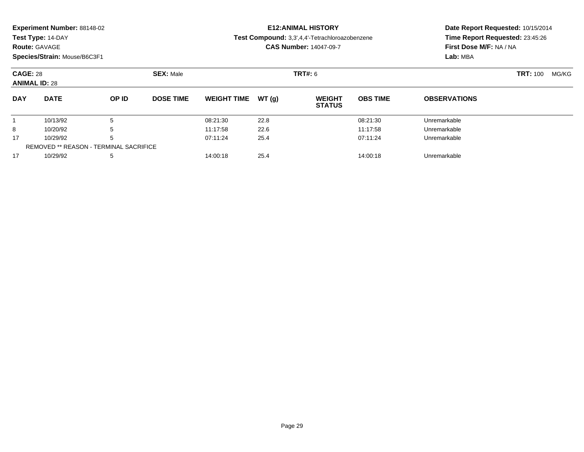| Experiment Number: 88148-02 |  |  |
|-----------------------------|--|--|
|-----------------------------|--|--|

**Route:** GAVAGE

**Species/Strain:** Mouse/B6C3F1

# **E12:ANIMAL HISTORY**

**Test Compound:** 3,3',4,4'-Tetrachloroazobenzene

**CAS Number:** 14047-09-7

| <b>CAGE: 28</b><br><b>ANIMAL ID: 28</b> |                                        |       | <b>SEX: Male</b> |                    |       | <b>TRT#: 6</b>                 |                 |                     | <b>TRT: 100</b> | MG/KG |
|-----------------------------------------|----------------------------------------|-------|------------------|--------------------|-------|--------------------------------|-----------------|---------------------|-----------------|-------|
| <b>DAY</b>                              | <b>DATE</b>                            | OP ID | <b>DOSE TIME</b> | <b>WEIGHT TIME</b> | WT(q) | <b>WEIGHT</b><br><b>STATUS</b> | <b>OBS TIME</b> | <b>OBSERVATIONS</b> |                 |       |
|                                         | 10/13/92                               |       |                  | 08:21:30           | 22.8  |                                | 08:21:30        | Unremarkable        |                 |       |
| 8                                       | 10/20/92                               |       |                  | 11:17:58           | 22.6  |                                | 11:17:58        | Unremarkable        |                 |       |
| 17                                      | 10/29/92                               |       |                  | 07:11:24           | 25.4  |                                | 07:11:24        | Unremarkable        |                 |       |
|                                         | REMOVED ** REASON - TERMINAL SACRIFICE |       |                  |                    |       |                                |                 |                     |                 |       |
| 17                                      | 10/29/92                               |       |                  | 14:00:18           | 25.4  |                                | 14:00:18        | Unremarkable        |                 |       |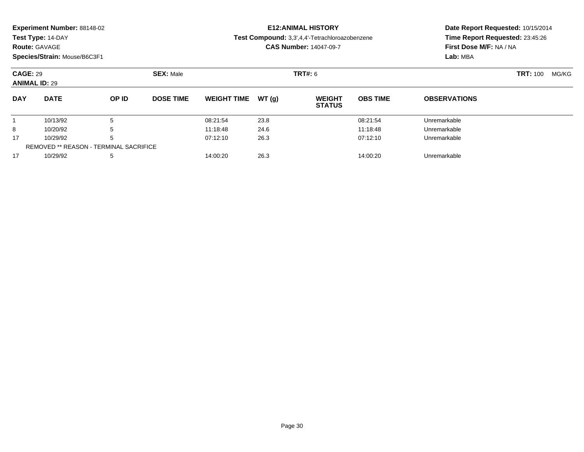| Experiment Number: 88148-02 |  |  |
|-----------------------------|--|--|
|-----------------------------|--|--|

**Route:** GAVAGE

**Species/Strain:** Mouse/B6C3F1

# **E12:ANIMAL HISTORY**

**Test Compound:** 3,3',4,4'-Tetrachloroazobenzene

**CAS Number:** 14047-09-7

| <b>CAGE: 29</b><br><b>ANIMAL ID: 29</b> |                                               |       | <b>SEX: Male</b> |                    |       | <b>TRT#:</b> 6                 |                 |                     | <b>TRT: 100</b> | MG/KG |
|-----------------------------------------|-----------------------------------------------|-------|------------------|--------------------|-------|--------------------------------|-----------------|---------------------|-----------------|-------|
| <b>DAY</b>                              | <b>DATE</b>                                   | OP ID | <b>DOSE TIME</b> | <b>WEIGHT TIME</b> | WT(g) | <b>WEIGHT</b><br><b>STATUS</b> | <b>OBS TIME</b> | <b>OBSERVATIONS</b> |                 |       |
|                                         | 10/13/92                                      |       |                  | 08:21:54           | 23.8  |                                | 08:21:54        | Unremarkable        |                 |       |
| 8                                       | 10/20/92                                      |       |                  | 11:18:48           | 24.6  |                                | 11:18:48        | Unremarkable        |                 |       |
| 17                                      | 10/29/92                                      |       |                  | 07:12:10           | 26.3  |                                | 07:12:10        | Unremarkable        |                 |       |
|                                         | <b>REMOVED ** REASON - TERMINAL SACRIFICE</b> |       |                  |                    |       |                                |                 |                     |                 |       |
| 17                                      | 10/29/92                                      |       |                  | 14:00:20           | 26.3  |                                | 14:00:20        | Unremarkable        |                 |       |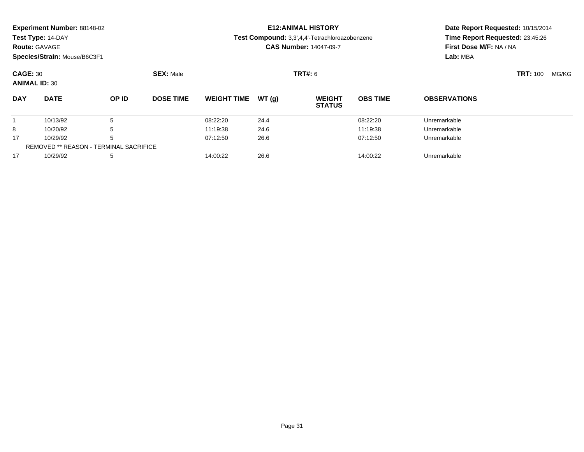| Experiment Number: 88148-02 |  |  |
|-----------------------------|--|--|
|-----------------------------|--|--|

**Route:** GAVAGE

**Species/Strain:** Mouse/B6C3F1

# **E12:ANIMAL HISTORY**

**Test Compound:** 3,3',4,4'-Tetrachloroazobenzene

**CAS Number:** 14047-09-7

| <b>CAGE: 30</b><br><b>ANIMAL ID: 30</b> |                                               |       | <b>SEX: Male</b> |                    |        | <b>TRT#:</b> 6                 |                 |                     | <b>TRT: 100</b> | MG/KG |
|-----------------------------------------|-----------------------------------------------|-------|------------------|--------------------|--------|--------------------------------|-----------------|---------------------|-----------------|-------|
| <b>DAY</b>                              | <b>DATE</b>                                   | OP ID | <b>DOSE TIME</b> | <b>WEIGHT TIME</b> | WT (a) | <b>WEIGHT</b><br><b>STATUS</b> | <b>OBS TIME</b> | <b>OBSERVATIONS</b> |                 |       |
|                                         | 10/13/92                                      | 5     |                  | 08:22:20           | 24.4   |                                | 08:22:20        | Unremarkable        |                 |       |
| 8                                       | 10/20/92                                      | 5     |                  | 11:19:38           | 24.6   |                                | 11:19:38        | Unremarkable        |                 |       |
| 17                                      | 10/29/92                                      | 5     |                  | 07:12:50           | 26.6   |                                | 07:12:50        | Unremarkable        |                 |       |
|                                         | <b>REMOVED ** REASON - TERMINAL SACRIFICE</b> |       |                  |                    |        |                                |                 |                     |                 |       |
| 17                                      | 10/29/92                                      | 5     |                  | 14:00:22           | 26.6   |                                | 14:00:22        | Unremarkable        |                 |       |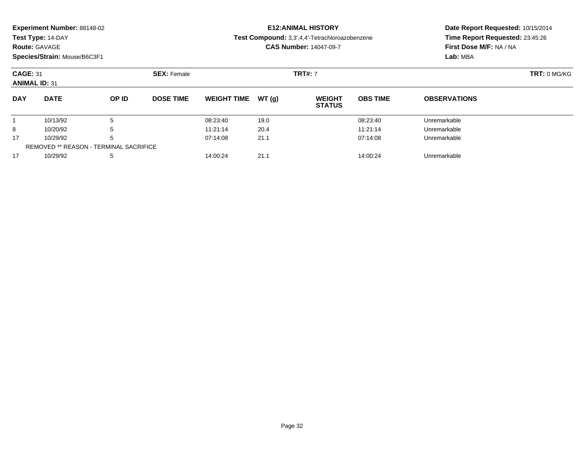|  |  | Experiment Number: 88148-02 |  |
|--|--|-----------------------------|--|
|--|--|-----------------------------|--|

**Route:** GAVAGE

**Species/Strain:** Mouse/B6C3F1

### **E12:ANIMAL HISTORY**

**Test Compound:** 3,3',4,4'-Tetrachloroazobenzene

**CAS Number:** 14047-09-7

| <b>CAGE: 31</b><br><b>ANIMAL ID: 31</b> |                                               | <b>SEX: Female</b> |                  |                    | <b>TRT#:</b> 7 | <b>TRT: 0 MG/KG</b>            |                 |                     |  |
|-----------------------------------------|-----------------------------------------------|--------------------|------------------|--------------------|----------------|--------------------------------|-----------------|---------------------|--|
| <b>DAY</b>                              | <b>DATE</b>                                   | OP ID              | <b>DOSE TIME</b> | <b>WEIGHT TIME</b> | WT (a)         | <b>WEIGHT</b><br><b>STATUS</b> | <b>OBS TIME</b> | <b>OBSERVATIONS</b> |  |
|                                         | 10/13/92                                      |                    |                  | 08:23:40           | 19.0           |                                | 08:23:40        | Unremarkable        |  |
| 8                                       | 10/20/92                                      | b                  |                  | 11:21:14           | 20.4           |                                | 11:21:14        | Unremarkable        |  |
| 17                                      | 10/29/92                                      | b                  |                  | 07:14:08           | 21.1           |                                | 07:14:08        | Unremarkable        |  |
|                                         | <b>REMOVED ** REASON - TERMINAL SACRIFICE</b> |                    |                  |                    |                |                                |                 |                     |  |
| 17                                      | 10/29/92                                      | 5                  |                  | 14:00:24           | 21.1           |                                | 14:00:24        | Unremarkable        |  |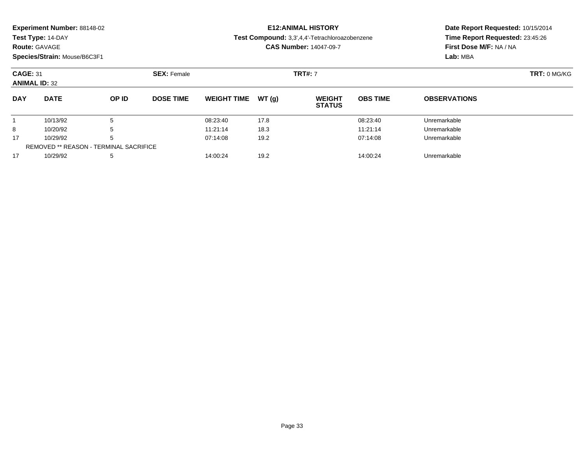|  |  | Experiment Number: 88148-02 |  |
|--|--|-----------------------------|--|
|--|--|-----------------------------|--|

### **Route:** GAVAGE

**Species/Strain:** Mouse/B6C3F1

### **E12:ANIMAL HISTORY**

#### **Test Compound:** 3,3',4,4'-Tetrachloroazobenzene

**CAS Number:** 14047-09-7

| <b>CAGE: 31</b><br><b>ANIMAL ID: 32</b> |                                               |       | <b>SEX: Female</b> |                    |       | <b>TRT#: 7</b>                 |                 |                     | <b>TRT: 0 MG/KG</b> |
|-----------------------------------------|-----------------------------------------------|-------|--------------------|--------------------|-------|--------------------------------|-----------------|---------------------|---------------------|
| <b>DAY</b>                              | <b>DATE</b>                                   | OP ID | <b>DOSE TIME</b>   | <b>WEIGHT TIME</b> | WT(q) | <b>WEIGHT</b><br><b>STATUS</b> | <b>OBS TIME</b> | <b>OBSERVATIONS</b> |                     |
|                                         | 10/13/92                                      | 5     |                    | 08:23:40           | 17.8  |                                | 08:23:40        | Unremarkable        |                     |
| 8                                       | 10/20/92                                      | 5     |                    | 11:21:14           | 18.3  |                                | 11:21:14        | Unremarkable        |                     |
| 17                                      | 10/29/92                                      | 5     |                    | 07:14:08           | 19.2  |                                | 07:14:08        | Unremarkable        |                     |
|                                         | <b>REMOVED ** REASON - TERMINAL SACRIFICE</b> |       |                    |                    |       |                                |                 |                     |                     |
| 17                                      | 10/29/92                                      | 5     |                    | 14:00:24           | 19.2  |                                | 14:00:24        | Unremarkable        |                     |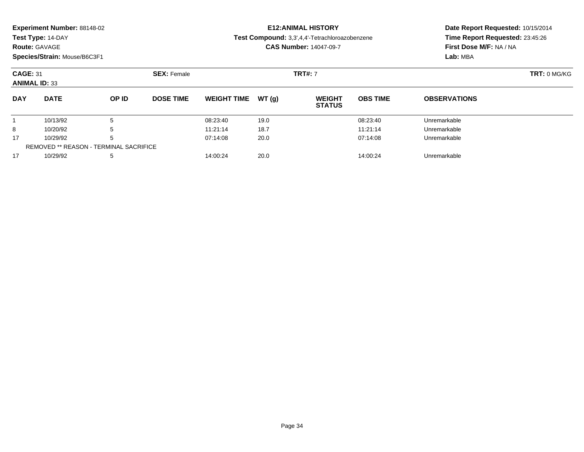| Experiment Number: 88148-02 |  |  |
|-----------------------------|--|--|
|-----------------------------|--|--|

### **Route:** GAVAGE

**Species/Strain:** Mouse/B6C3F1

### **E12:ANIMAL HISTORY**

#### **Test Compound:** 3,3',4,4'-Tetrachloroazobenzene

**CAS Number:** 14047-09-7

| <b>CAGE: 31</b><br><b>ANIMAL ID: 33</b> |                                        |              | <b>SEX: Female</b> |                    |       | <b>TRT#: 7</b>                 |                 |                     | TRT: 0 MG/KG |
|-----------------------------------------|----------------------------------------|--------------|--------------------|--------------------|-------|--------------------------------|-----------------|---------------------|--------------|
| <b>DAY</b>                              | <b>DATE</b>                            | <b>OP ID</b> | <b>DOSE TIME</b>   | <b>WEIGHT TIME</b> | WT(g) | <b>WEIGHT</b><br><b>STATUS</b> | <b>OBS TIME</b> | <b>OBSERVATIONS</b> |              |
|                                         | 10/13/92                               | 5            |                    | 08:23:40           | 19.0  |                                | 08:23:40        | Unremarkable        |              |
| 8                                       | 10/20/92                               | 5            |                    | 11:21:14           | 18.7  |                                | 11:21:14        | Unremarkable        |              |
| 17                                      | 10/29/92                               | 5            |                    | 07:14:08           | 20.0  |                                | 07:14:08        | Unremarkable        |              |
|                                         | REMOVED ** REASON - TERMINAL SACRIFICE |              |                    |                    |       |                                |                 |                     |              |
| 17                                      | 10/29/92                               | 5            |                    | 14:00:24           | 20.0  |                                | 14:00:24        | Unremarkable        |              |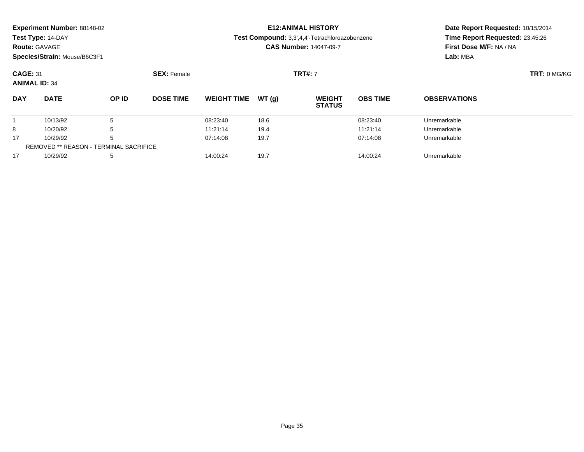|  |  | Experiment Number: 88148-02 |  |
|--|--|-----------------------------|--|
|--|--|-----------------------------|--|

### **Route:** GAVAGE

**Species/Strain:** Mouse/B6C3F1

### **E12:ANIMAL HISTORY**

#### **Test Compound:** 3,3',4,4'-Tetrachloroazobenzene

**CAS Number:** 14047-09-7

| <b>CAGE: 31</b><br><b>ANIMAL ID: 34</b> |                                               | <b>SEX: Female</b> |                  |                    | <b>TRT#: 7</b> | TRT: 0 MG/KG                   |                 |                     |  |
|-----------------------------------------|-----------------------------------------------|--------------------|------------------|--------------------|----------------|--------------------------------|-----------------|---------------------|--|
| <b>DAY</b>                              | <b>DATE</b>                                   | OP ID              | <b>DOSE TIME</b> | <b>WEIGHT TIME</b> | WT(g)          | <b>WEIGHT</b><br><b>STATUS</b> | <b>OBS TIME</b> | <b>OBSERVATIONS</b> |  |
|                                         | 10/13/92                                      | đ                  |                  | 08:23:40           | 18.6           |                                | 08:23:40        | Unremarkable        |  |
| 8                                       | 10/20/92                                      | 5                  |                  | 11:21:14           | 19.4           |                                | 11:21:14        | Unremarkable        |  |
| 17                                      | 10/29/92                                      | 5                  |                  | 07:14:08           | 19.7           |                                | 07:14:08        | Unremarkable        |  |
|                                         | <b>REMOVED ** REASON - TERMINAL SACRIFICE</b> |                    |                  |                    |                |                                |                 |                     |  |
| 17                                      | 10/29/92                                      | 5                  |                  | 14:00:24           | 19.7           |                                | 14:00:24        | Unremarkable        |  |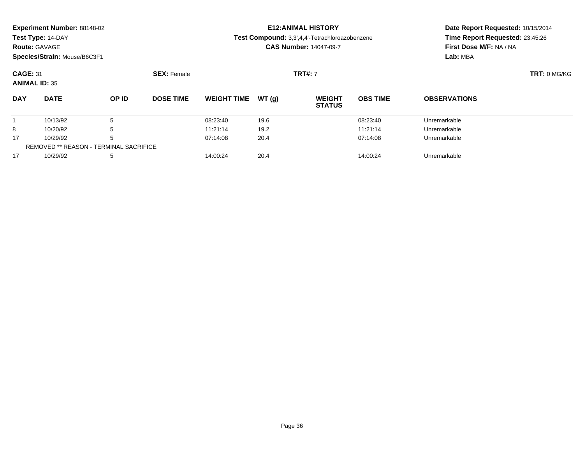| Experiment Number: 88148-02 |  |  |
|-----------------------------|--|--|
|-----------------------------|--|--|

**Route:** GAVAGE

**Species/Strain:** Mouse/B6C3F1

### **E12:ANIMAL HISTORY**

**Test Compound:** 3,3',4,4'-Tetrachloroazobenzene

**CAS Number:** 14047-09-7

| <b>CAGE: 31</b><br><b>ANIMAL ID: 35</b> |                                               |              | <b>SEX: Female</b> |                    |        | <b>TRT#: 7</b>                 |                 |                     | TRT: 0 MG/KG |
|-----------------------------------------|-----------------------------------------------|--------------|--------------------|--------------------|--------|--------------------------------|-----------------|---------------------|--------------|
| <b>DAY</b>                              | <b>DATE</b>                                   | <b>OP ID</b> | <b>DOSE TIME</b>   | <b>WEIGHT TIME</b> | WT (a) | <b>WEIGHT</b><br><b>STATUS</b> | <b>OBS TIME</b> | <b>OBSERVATIONS</b> |              |
|                                         | 10/13/92                                      | 5            |                    | 08:23:40           | 19.6   |                                | 08:23:40        | Unremarkable        |              |
| 8                                       | 10/20/92                                      | 5            |                    | 11:21:14           | 19.2   |                                | 11:21:14        | Unremarkable        |              |
| 17                                      | 10/29/92                                      | 5            |                    | 07:14:08           | 20.4   |                                | 07:14:08        | Unremarkable        |              |
|                                         | <b>REMOVED ** REASON - TERMINAL SACRIFICE</b> |              |                    |                    |        |                                |                 |                     |              |
| 17                                      | 10/29/92                                      | 5            |                    | 14:00:24           | 20.4   |                                | 14:00:24        | Unremarkable        |              |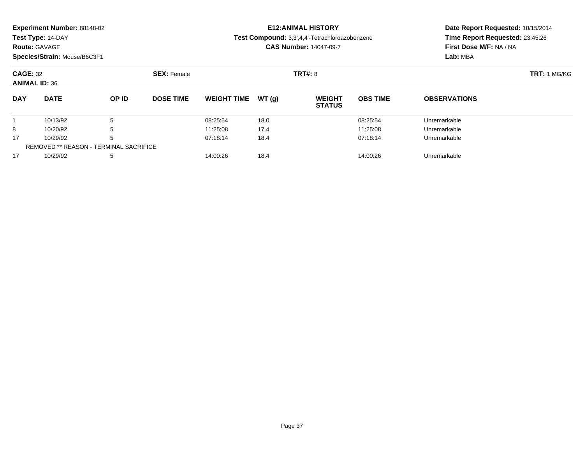| Experiment Number: 88148-02 |  |  |
|-----------------------------|--|--|
|-----------------------------|--|--|

**Route:** GAVAGE

**Species/Strain:** Mouse/B6C3F1

## **E12:ANIMAL HISTORY**

**Test Compound:** 3,3',4,4'-Tetrachloroazobenzene

**CAS Number:** 14047-09-7

| <b>CAGE: 32</b><br><b>ANIMAL ID: 36</b> |                                               |       | <b>SEX: Female</b> |                    |       | <b>TRT#: 8</b>                 | <b>TRT: 1 MG/KG</b> |                     |  |
|-----------------------------------------|-----------------------------------------------|-------|--------------------|--------------------|-------|--------------------------------|---------------------|---------------------|--|
| <b>DAY</b>                              | <b>DATE</b>                                   | OP ID | <b>DOSE TIME</b>   | <b>WEIGHT TIME</b> | WT(g) | <b>WEIGHT</b><br><b>STATUS</b> | <b>OBS TIME</b>     | <b>OBSERVATIONS</b> |  |
|                                         | 10/13/92                                      | 5     |                    | 08:25:54           | 18.0  |                                | 08:25:54            | Unremarkable        |  |
| 8                                       | 10/20/92                                      | 5     |                    | 11:25:08           | 17.4  |                                | 11:25:08            | Unremarkable        |  |
| 17                                      | 10/29/92                                      | 5     |                    | 07:18:14           | 18.4  |                                | 07:18:14            | Unremarkable        |  |
|                                         | <b>REMOVED ** REASON - TERMINAL SACRIFICE</b> |       |                    |                    |       |                                |                     |                     |  |
| 17                                      | 10/29/92                                      | 5     |                    | 14:00:26           | 18.4  |                                | 14:00:26            | Unremarkable        |  |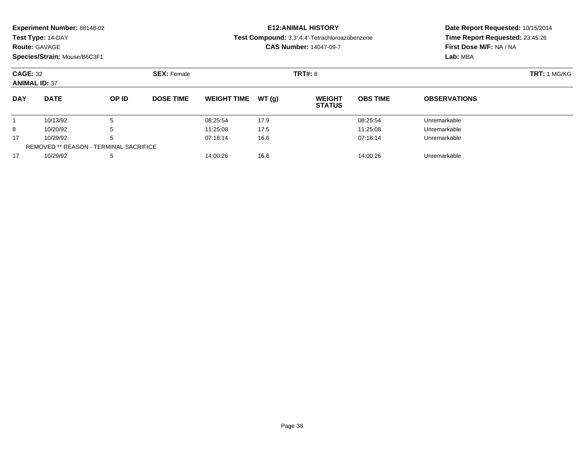|  |  | Experiment Number: 88148-02 |  |
|--|--|-----------------------------|--|
|--|--|-----------------------------|--|

**Route:** GAVAGE

**Species/Strain:** Mouse/B6C3F1

## **E12:ANIMAL HISTORY**

**Test Compound:** 3,3',4,4'-Tetrachloroazobenzene

**CAS Number:** 14047-09-7

| <b>CAGE: 32</b><br><b>ANIMAL ID: 37</b> |                                               |       | <b>SEX: Female</b> |                    |       | <b>TRT#:</b> 8                 | <b>TRT: 1 MG/KG</b> |                     |  |
|-----------------------------------------|-----------------------------------------------|-------|--------------------|--------------------|-------|--------------------------------|---------------------|---------------------|--|
| <b>DAY</b>                              | <b>DATE</b>                                   | OP ID | <b>DOSE TIME</b>   | <b>WEIGHT TIME</b> | WT(a) | <b>WEIGHT</b><br><b>STATUS</b> | <b>OBS TIME</b>     | <b>OBSERVATIONS</b> |  |
|                                         | 10/13/92                                      | 5     |                    | 08:25:54           | 17.9  |                                | 08:25:54            | Unremarkable        |  |
| 8                                       | 10/20/92                                      | 5     |                    | 11:25:08           | 17.5  |                                | 11:25:08            | Unremarkable        |  |
| 17                                      | 10/29/92                                      | 5     |                    | 07:18:14           | 16.6  |                                | 07:18:14            | Unremarkable        |  |
|                                         | <b>REMOVED ** REASON - TERMINAL SACRIFICE</b> |       |                    |                    |       |                                |                     |                     |  |
| 17                                      | 10/29/92                                      | 5     |                    | 14:00:26           | 16.6  |                                | 14:00:26            | Unremarkable        |  |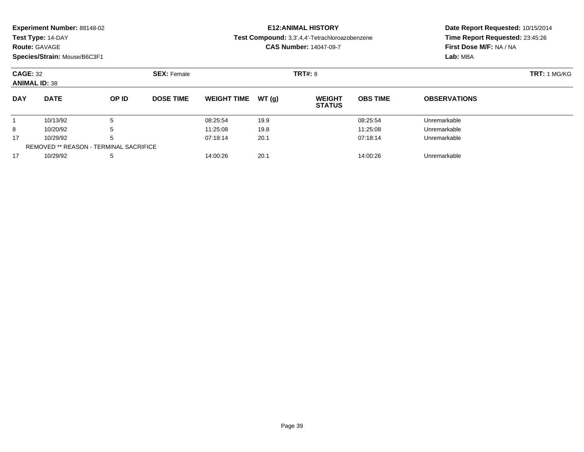| Experiment Number: 88148-02 |  |  |
|-----------------------------|--|--|
|-----------------------------|--|--|

**Route:** GAVAGE

**Species/Strain:** Mouse/B6C3F1

## **E12:ANIMAL HISTORY**

**Test Compound:** 3,3',4,4'-Tetrachloroazobenzene

**CAS Number:** 14047-09-7

| <b>CAGE: 32</b><br><b>ANIMAL ID: 38</b> |                                               |       | <b>SEX: Female</b> |                    |       | <b>TRT#: 8</b>                 | <b>TRT: 1 MG/KG</b> |                     |  |
|-----------------------------------------|-----------------------------------------------|-------|--------------------|--------------------|-------|--------------------------------|---------------------|---------------------|--|
| <b>DAY</b>                              | <b>DATE</b>                                   | OP ID | <b>DOSE TIME</b>   | <b>WEIGHT TIME</b> | WT(a) | <b>WEIGHT</b><br><b>STATUS</b> | <b>OBS TIME</b>     | <b>OBSERVATIONS</b> |  |
|                                         | 10/13/92                                      | 5     |                    | 08:25:54           | 19.9  |                                | 08:25:54            | Unremarkable        |  |
| 8                                       | 10/20/92                                      | 5     |                    | 11:25:08           | 19.8  |                                | 11:25:08            | Unremarkable        |  |
| 17                                      | 10/29/92                                      | 5     |                    | 07:18:14           | 20.1  |                                | 07:18:14            | Unremarkable        |  |
|                                         | <b>REMOVED ** REASON - TERMINAL SACRIFICE</b> |       |                    |                    |       |                                |                     |                     |  |
| 17                                      | 10/29/92                                      | 5     |                    | 14:00:26           | 20.1  |                                | 14:00:26            | Unremarkable        |  |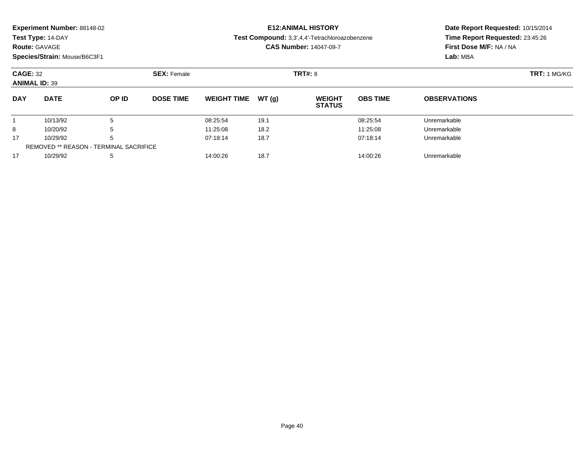| Experiment Number: 88148-02 |  |  |
|-----------------------------|--|--|
|-----------------------------|--|--|

**Route:** GAVAGE

**Species/Strain:** Mouse/B6C3F1

# **E12:ANIMAL HISTORY**

**Test Compound:** 3,3',4,4'-Tetrachloroazobenzene

**CAS Number:** 14047-09-7

| <b>CAGE: 32</b><br><b>ANIMAL ID: 39</b> |                                               | <b>SEX: Female</b> |                  |                    |        | TRT#: 8                        |                 |                     |  |
|-----------------------------------------|-----------------------------------------------|--------------------|------------------|--------------------|--------|--------------------------------|-----------------|---------------------|--|
| <b>DAY</b>                              | <b>DATE</b>                                   | OP ID              | <b>DOSE TIME</b> | <b>WEIGHT TIME</b> | WT (a) | <b>WEIGHT</b><br><b>STATUS</b> | <b>OBS TIME</b> | <b>OBSERVATIONS</b> |  |
|                                         | 10/13/92                                      |                    |                  | 08:25:54           | 19.1   |                                | 08:25:54        | Unremarkable        |  |
| 8                                       | 10/20/92                                      | b                  |                  | 11:25:08           | 18.2   |                                | 11:25:08        | Unremarkable        |  |
| 17                                      | 10/29/92                                      | b                  |                  | 07:18:14           | 18.7   |                                | 07:18:14        | Unremarkable        |  |
|                                         | <b>REMOVED ** REASON - TERMINAL SACRIFICE</b> |                    |                  |                    |        |                                |                 |                     |  |
| 17                                      | 10/29/92                                      | 5                  |                  | 14:00:26           | 18.7   |                                | 14:00:26        | Unremarkable        |  |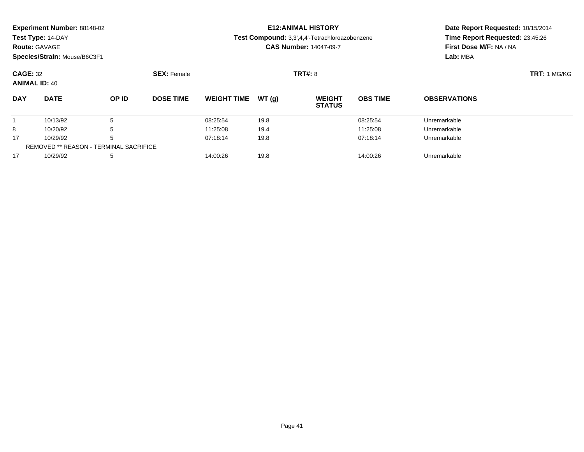| Experiment Number: 88148-02 |  |  |
|-----------------------------|--|--|
|-----------------------------|--|--|

**Route:** GAVAGE

**Species/Strain:** Mouse/B6C3F1

## **E12:ANIMAL HISTORY**

**Test Compound:** 3,3',4,4'-Tetrachloroazobenzene

**CAS Number:** 14047-09-7

| <b>CAGE: 32</b><br><b>ANIMAL ID: 40</b> |                                        | <b>SEX: Female</b> |                  |                    |       | <b>TRT#: 8</b>                 |                 |                     |  |
|-----------------------------------------|----------------------------------------|--------------------|------------------|--------------------|-------|--------------------------------|-----------------|---------------------|--|
| <b>DAY</b>                              | <b>DATE</b>                            | OP ID              | <b>DOSE TIME</b> | <b>WEIGHT TIME</b> | WT(q) | <b>WEIGHT</b><br><b>STATUS</b> | <b>OBS TIME</b> | <b>OBSERVATIONS</b> |  |
|                                         | 10/13/92                               | 5                  |                  | 08:25:54           | 19.8  |                                | 08:25:54        | Unremarkable        |  |
| 8                                       | 10/20/92                               | 5                  |                  | 11:25:08           | 19.4  |                                | 11:25:08        | Unremarkable        |  |
| 17                                      | 10/29/92                               | 5                  |                  | 07:18:14           | 19.8  |                                | 07:18:14        | Unremarkable        |  |
|                                         | REMOVED ** REASON - TERMINAL SACRIFICE |                    |                  |                    |       |                                |                 |                     |  |
| 17                                      | 10/29/92                               | 5                  |                  | 14:00:26           | 19.8  |                                | 14:00:26        | Unremarkable        |  |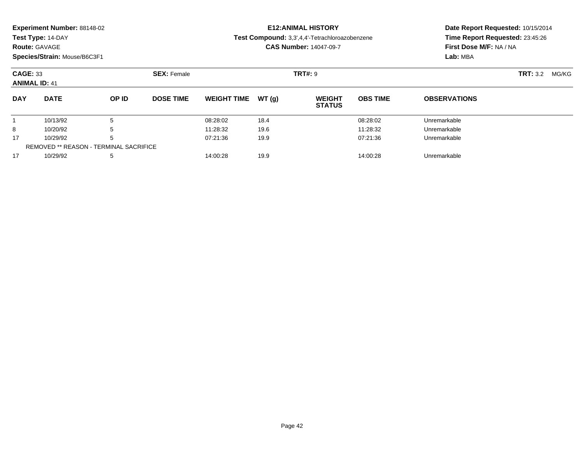**Experiment Number:** 88148-02

**Test Type:** 14-DAY

### **Route:** GAVAGE

**Species/Strain:** Mouse/B6C3F1

# **E12:ANIMAL HISTORY**

**Test Compound:** 3,3',4,4'-Tetrachloroazobenzene

**CAS Number:** 14047-09-7

| <b>CAGE: 33</b><br><b>ANIMAL ID: 41</b> |                                               | <b>SEX: Female</b> |                  |                    | <b>TRT#: 9</b> |                                | <b>TRT:</b> 3.2<br>MG/KG |                     |  |  |
|-----------------------------------------|-----------------------------------------------|--------------------|------------------|--------------------|----------------|--------------------------------|--------------------------|---------------------|--|--|
| <b>DAY</b>                              | <b>DATE</b>                                   | OP ID              | <b>DOSE TIME</b> | <b>WEIGHT TIME</b> | WT(g)          | <b>WEIGHT</b><br><b>STATUS</b> | <b>OBS TIME</b>          | <b>OBSERVATIONS</b> |  |  |
|                                         | 10/13/92                                      | b                  |                  | 08:28:02           | 18.4           |                                | 08:28:02                 | Unremarkable        |  |  |
| 8                                       | 10/20/92                                      | b                  |                  | 11:28:32           | 19.6           |                                | 11:28:32                 | Unremarkable        |  |  |
| 17                                      | 10/29/92                                      | b                  |                  | 07:21:36           | 19.9           |                                | 07:21:36                 | Unremarkable        |  |  |
|                                         | <b>REMOVED ** REASON - TERMINAL SACRIFICE</b> |                    |                  |                    |                |                                |                          |                     |  |  |
| 17                                      | 10/29/92                                      | 5                  |                  | 14:00:28           | 19.9           |                                | 14:00:28                 | Unremarkable        |  |  |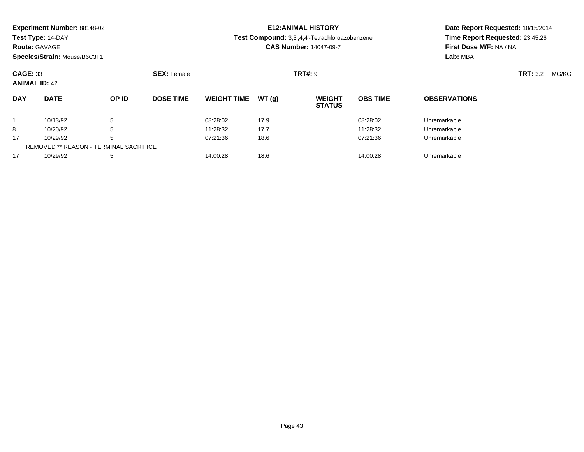| Experiment Number: 88148-02 |  |  |
|-----------------------------|--|--|
|-----------------------------|--|--|

**Route:** GAVAGE

**Species/Strain:** Mouse/B6C3F1

# **E12:ANIMAL HISTORY**

**Test Compound:** 3,3',4,4'-Tetrachloroazobenzene

**CAS Number:** 14047-09-7

| <b>CAGE: 33</b><br><b>ANIMAL ID: 42</b> |                                               | <b>SEX: Female</b> |                  |                    | <b>TRT#: 9</b> |                                | <b>TRT:</b> 3.2 | MG/KG               |  |  |
|-----------------------------------------|-----------------------------------------------|--------------------|------------------|--------------------|----------------|--------------------------------|-----------------|---------------------|--|--|
| <b>DAY</b>                              | <b>DATE</b>                                   | OP ID              | <b>DOSE TIME</b> | <b>WEIGHT TIME</b> | WT(g)          | <b>WEIGHT</b><br><b>STATUS</b> | <b>OBS TIME</b> | <b>OBSERVATIONS</b> |  |  |
|                                         | 10/13/92                                      |                    |                  | 08:28:02           | 17.9           |                                | 08:28:02        | Unremarkable        |  |  |
| 8                                       | 10/20/92                                      | b                  |                  | 11:28:32           | 17.7           |                                | 11:28:32        | Unremarkable        |  |  |
| 17                                      | 10/29/92                                      | b                  |                  | 07:21:36           | 18.6           |                                | 07:21:36        | Unremarkable        |  |  |
|                                         | <b>REMOVED ** REASON - TERMINAL SACRIFICE</b> |                    |                  |                    |                |                                |                 |                     |  |  |
| 17                                      | 10/29/92                                      | 5                  |                  | 14:00:28           | 18.6           |                                | 14:00:28        | Unremarkable        |  |  |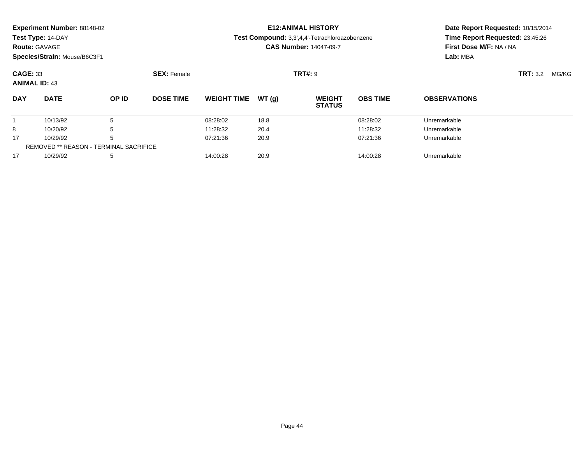| Experiment Number: 88148-02 |  |  |
|-----------------------------|--|--|
|-----------------------------|--|--|

**Route:** GAVAGE

**Species/Strain:** Mouse/B6C3F1

# **E12:ANIMAL HISTORY**

**Test Compound:** 3,3',4,4'-Tetrachloroazobenzene

**CAS Number:** 14047-09-7

| <b>CAGE: 33</b><br><b>ANIMAL ID: 43</b> |                                        |       | <b>SEX: Female</b> |                     |      | <b>TRT#:</b> 9                 |                 |                     | <b>TRT:</b> 3.2 | MG/KG |
|-----------------------------------------|----------------------------------------|-------|--------------------|---------------------|------|--------------------------------|-----------------|---------------------|-----------------|-------|
| <b>DAY</b>                              | <b>DATE</b>                            | OP ID | <b>DOSE TIME</b>   | WEIGHT TIME $WT(q)$ |      | <b>WEIGHT</b><br><b>STATUS</b> | <b>OBS TIME</b> | <b>OBSERVATIONS</b> |                 |       |
|                                         | 10/13/92                               |       |                    | 08:28:02            | 18.8 |                                | 08:28:02        | Unremarkable        |                 |       |
| 8                                       | 10/20/92                               |       |                    | 11:28:32            | 20.4 |                                | 11:28:32        | Unremarkable        |                 |       |
| 17                                      | 10/29/92                               |       |                    | 07:21:36            | 20.9 |                                | 07:21:36        | Unremarkable        |                 |       |
|                                         | REMOVED ** REASON - TERMINAL SACRIFICE |       |                    |                     |      |                                |                 |                     |                 |       |
| 17                                      | 10/29/92                               |       |                    | 14:00:28            | 20.9 |                                | 14:00:28        | Unremarkable        |                 |       |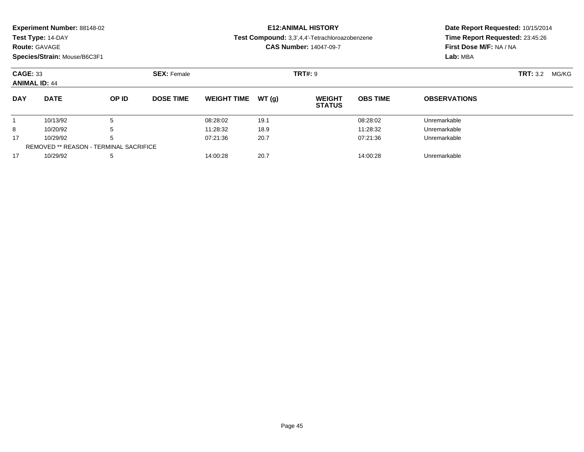| Experiment Number: 88148-02 |  |  |
|-----------------------------|--|--|
|-----------------------------|--|--|

**Route:** GAVAGE

**Species/Strain:** Mouse/B6C3F1

# **E12:ANIMAL HISTORY**

**Test Compound:** 3,3',4,4'-Tetrachloroazobenzene

**CAS Number:** 14047-09-7

| <b>CAGE: 33</b><br><b>ANIMAL ID: 44</b> |                                        |       | <b>SEX: Female</b> |                    |       | <b>TRT#: 9</b>                 |                 |                     | <b>TRT:</b> 3.2 | MG/KG |
|-----------------------------------------|----------------------------------------|-------|--------------------|--------------------|-------|--------------------------------|-----------------|---------------------|-----------------|-------|
| <b>DAY</b>                              | <b>DATE</b>                            | OP ID | <b>DOSE TIME</b>   | <b>WEIGHT TIME</b> | WT(q) | <b>WEIGHT</b><br><b>STATUS</b> | <b>OBS TIME</b> | <b>OBSERVATIONS</b> |                 |       |
|                                         | 10/13/92                               |       |                    | 08:28:02           | 19.1  |                                | 08:28:02        | Unremarkable        |                 |       |
| 8                                       | 10/20/92                               |       |                    | 11:28:32           | 18.9  |                                | 11:28:32        | Unremarkable        |                 |       |
| 17                                      | 10/29/92                               |       |                    | 07:21:36           | 20.7  |                                | 07:21:36        | Unremarkable        |                 |       |
|                                         | REMOVED ** REASON - TERMINAL SACRIFICE |       |                    |                    |       |                                |                 |                     |                 |       |
| 17                                      | 10/29/92                               |       |                    | 14:00:28           | 20.7  |                                | 14:00:28        | Unremarkable        |                 |       |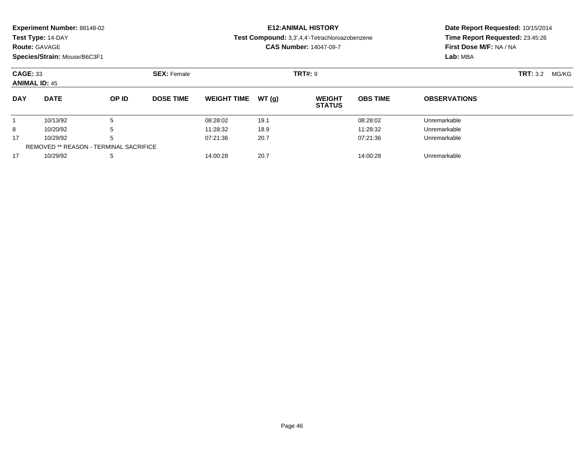| Experiment Number: 88148-02 |  |  |
|-----------------------------|--|--|
|-----------------------------|--|--|

**Route:** GAVAGE

**Species/Strain:** Mouse/B6C3F1

# **E12:ANIMAL HISTORY**

**Test Compound:** 3,3',4,4'-Tetrachloroazobenzene

**CAS Number:** 14047-09-7

| <b>CAGE: 33</b><br><b>ANIMAL ID: 45</b> |                                        |       | <b>SEX: Female</b> |                    |       | <b>TRT#: 9</b>                 |                 |                     | <b>TRT:</b> 3.2 | MG/KG |
|-----------------------------------------|----------------------------------------|-------|--------------------|--------------------|-------|--------------------------------|-----------------|---------------------|-----------------|-------|
| <b>DAY</b>                              | <b>DATE</b>                            | OP ID | <b>DOSE TIME</b>   | <b>WEIGHT TIME</b> | WT(q) | <b>WEIGHT</b><br><b>STATUS</b> | <b>OBS TIME</b> | <b>OBSERVATIONS</b> |                 |       |
|                                         | 10/13/92                               |       |                    | 08:28:02           | 19.1  |                                | 08:28:02        | Unremarkable        |                 |       |
| 8                                       | 10/20/92                               |       |                    | 11:28:32           | 18.9  |                                | 11:28:32        | Unremarkable        |                 |       |
| 17                                      | 10/29/92                               |       |                    | 07:21:36           | 20.7  |                                | 07:21:36        | Unremarkable        |                 |       |
|                                         | REMOVED ** REASON - TERMINAL SACRIFICE |       |                    |                    |       |                                |                 |                     |                 |       |
| 17                                      | 10/29/92                               |       |                    | 14:00:28           | 20.7  |                                | 14:00:28        | Unremarkable        |                 |       |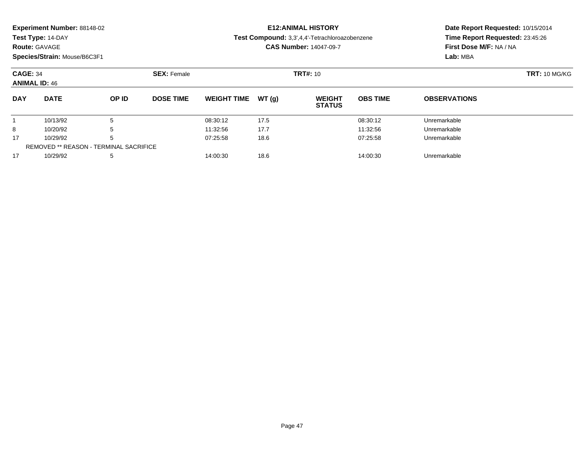| Experiment Number: 88148-02 |  |  |
|-----------------------------|--|--|
|-----------------------------|--|--|

### **Route:** GAVAGE

**Species/Strain:** Mouse/B6C3F1

# **E12:ANIMAL HISTORY**

**Test Compound:** 3,3',4,4'-Tetrachloroazobenzene

**CAS Number:** 14047-09-7

| <b>CAGE: 34</b><br><b>ANIMAL ID: 46</b> |                                               | <b>SEX: Female</b> |                  |                    |       | <b>TRT#:</b> 10                |                 |                     |  |
|-----------------------------------------|-----------------------------------------------|--------------------|------------------|--------------------|-------|--------------------------------|-----------------|---------------------|--|
| <b>DAY</b>                              | <b>DATE</b>                                   | OP ID              | <b>DOSE TIME</b> | <b>WEIGHT TIME</b> | WT(g) | <b>WEIGHT</b><br><b>STATUS</b> | <b>OBS TIME</b> | <b>OBSERVATIONS</b> |  |
|                                         | 10/13/92                                      | b                  |                  | 08:30:12           | 17.5  |                                | 08:30:12        | Unremarkable        |  |
| 8                                       | 10/20/92                                      | b                  |                  | 11:32:56           | 17.7  |                                | 11:32:56        | Unremarkable        |  |
| 17                                      | 10/29/92                                      | b                  |                  | 07:25:58           | 18.6  |                                | 07:25:58        | Unremarkable        |  |
|                                         | <b>REMOVED ** REASON - TERMINAL SACRIFICE</b> |                    |                  |                    |       |                                |                 |                     |  |
| 17                                      | 10/29/92                                      | 5                  |                  | 14:00:30           | 18.6  |                                | 14:00:30        | Unremarkable        |  |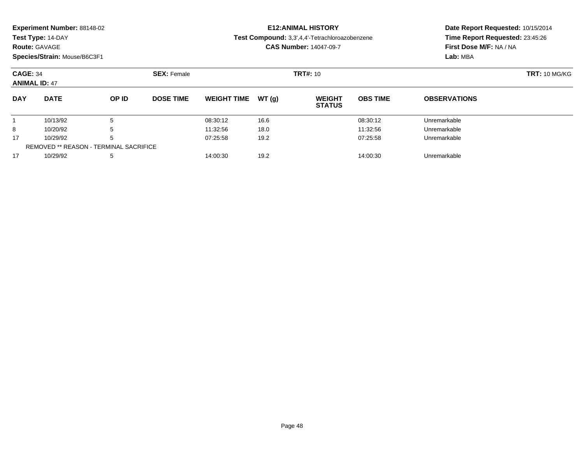| Experiment Number: 88148-02 |  |  |
|-----------------------------|--|--|
|-----------------------------|--|--|

### **Route:** GAVAGE

**Species/Strain:** Mouse/B6C3F1

# **E12:ANIMAL HISTORY**

#### **Test Compound:** 3,3',4,4'-Tetrachloroazobenzene

**CAS Number:** 14047-09-7

| <b>CAGE: 34</b><br><b>ANIMAL ID: 47</b> |                                               | <b>SEX: Female</b> |                  |                    |       | <b>TRT#:</b> 10                |                 |                     |  |
|-----------------------------------------|-----------------------------------------------|--------------------|------------------|--------------------|-------|--------------------------------|-----------------|---------------------|--|
| <b>DAY</b>                              | <b>DATE</b>                                   | OP ID              | <b>DOSE TIME</b> | <b>WEIGHT TIME</b> | WT(g) | <b>WEIGHT</b><br><b>STATUS</b> | <b>OBS TIME</b> | <b>OBSERVATIONS</b> |  |
|                                         | 10/13/92                                      | b                  |                  | 08:30:12           | 16.6  |                                | 08:30:12        | Unremarkable        |  |
| 8                                       | 10/20/92                                      | b                  |                  | 11:32:56           | 18.0  |                                | 11:32:56        | Unremarkable        |  |
| 17                                      | 10/29/92                                      | b                  |                  | 07:25:58           | 19.2  |                                | 07:25:58        | Unremarkable        |  |
|                                         | <b>REMOVED ** REASON - TERMINAL SACRIFICE</b> |                    |                  |                    |       |                                |                 |                     |  |
| 17                                      | 10/29/92                                      | 5                  |                  | 14:00:30           | 19.2  |                                | 14:00:30        | Unremarkable        |  |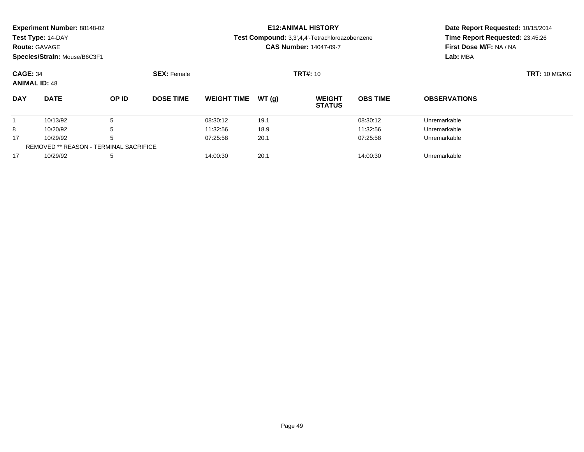|  | Experiment Number: 88148-02 |
|--|-----------------------------|
|--|-----------------------------|

**Route:** GAVAGE

**Species/Strain:** Mouse/B6C3F1

# **E12:ANIMAL HISTORY**

**Test Compound:** 3,3',4,4'-Tetrachloroazobenzene

**CAS Number:** 14047-09-7

| <b>CAGE: 34</b><br><b>ANIMAL ID: 48</b> |                                               |              | <b>SEX: Female</b> |                    |        | <b>TRT#: 10</b>                | <b>TRT: 10 MG/KG</b> |                     |  |
|-----------------------------------------|-----------------------------------------------|--------------|--------------------|--------------------|--------|--------------------------------|----------------------|---------------------|--|
| <b>DAY</b>                              | <b>DATE</b>                                   | <b>OP ID</b> | <b>DOSE TIME</b>   | <b>WEIGHT TIME</b> | WT (a) | <b>WEIGHT</b><br><b>STATUS</b> | <b>OBS TIME</b>      | <b>OBSERVATIONS</b> |  |
|                                         | 10/13/92                                      | 5            |                    | 08:30:12           | 19.1   |                                | 08:30:12             | Unremarkable        |  |
| 8                                       | 10/20/92                                      | 5            |                    | 11:32:56           | 18.9   |                                | 11:32:56             | Unremarkable        |  |
| 17                                      | 10/29/92                                      | 5            |                    | 07:25:58           | 20.1   |                                | 07:25:58             | Unremarkable        |  |
|                                         | <b>REMOVED ** REASON - TERMINAL SACRIFICE</b> |              |                    |                    |        |                                |                      |                     |  |
| 17                                      | 10/29/92                                      | -5           |                    | 14:00:30           | 20.1   |                                | 14:00:30             | Unremarkable        |  |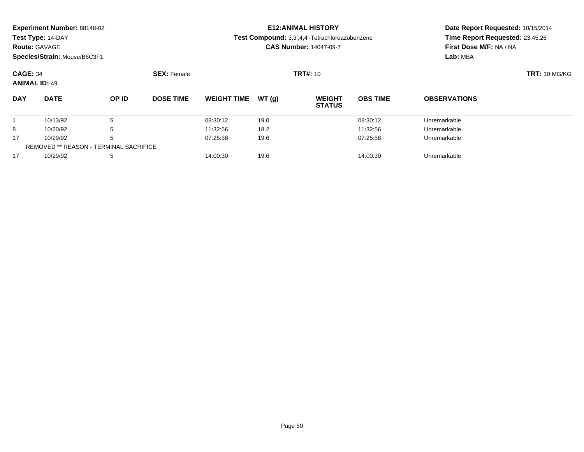|  | Experiment Number: 88148-02 |
|--|-----------------------------|
|--|-----------------------------|

### **Route:** GAVAGE

**Species/Strain:** Mouse/B6C3F1

# **E12:ANIMAL HISTORY**

**Test Compound:** 3,3',4,4'-Tetrachloroazobenzene

**CAS Number:** 14047-09-7

| <b>CAGE: 34</b><br><b>ANIMAL ID: 49</b> |                                               | <b>TRT#: 10</b><br><b>SEX: Female</b> |                  |                    |       |                                |                 |                     |  |
|-----------------------------------------|-----------------------------------------------|---------------------------------------|------------------|--------------------|-------|--------------------------------|-----------------|---------------------|--|
|                                         |                                               |                                       |                  |                    |       |                                |                 |                     |  |
| <b>DAY</b>                              | <b>DATE</b>                                   | OP ID                                 | <b>DOSE TIME</b> | <b>WEIGHT TIME</b> | WT(q) | <b>WEIGHT</b><br><b>STATUS</b> | <b>OBS TIME</b> | <b>OBSERVATIONS</b> |  |
|                                         | 10/13/92                                      |                                       |                  | 08:30:12           | 19.0  |                                | 08:30:12        | Unremarkable        |  |
| 8                                       | 10/20/92                                      |                                       |                  | 11:32:56           | 18.2  |                                | 11:32:56        | Unremarkable        |  |
| 17                                      | 10/29/92                                      |                                       |                  | 07:25:58           | 19.6  |                                | 07:25:58        | Unremarkable        |  |
|                                         | <b>REMOVED ** REASON - TERMINAL SACRIFICE</b> |                                       |                  |                    |       |                                |                 |                     |  |
| 17                                      | 10/29/92                                      |                                       |                  | 14:00:30           | 19.6  |                                | 14:00:30        | Unremarkable        |  |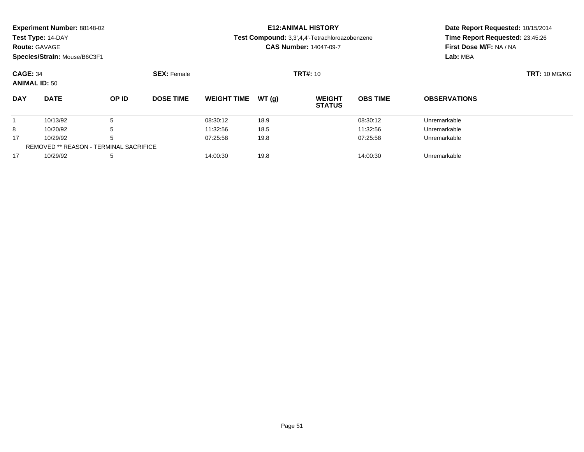|  | Experiment Number: 88148-02 |  |
|--|-----------------------------|--|
|--|-----------------------------|--|

**Route:** GAVAGE

**Species/Strain:** Mouse/B6C3F1

# **E12:ANIMAL HISTORY**

**Test Compound:** 3,3',4,4'-Tetrachloroazobenzene

**CAS Number:** 14047-09-7

| <b>CAGE: 34</b><br><b>ANIMAL ID: 50</b> |                                               | <b>SEX: Female</b> |                  |                    | <b>TRT#:</b> 10 |                                |                 | <b>TRT: 10 MG/KG</b> |  |
|-----------------------------------------|-----------------------------------------------|--------------------|------------------|--------------------|-----------------|--------------------------------|-----------------|----------------------|--|
| <b>DAY</b>                              | <b>DATE</b>                                   | OP ID              | <b>DOSE TIME</b> | <b>WEIGHT TIME</b> | WT(g)           | <b>WEIGHT</b><br><b>STATUS</b> | <b>OBS TIME</b> | <b>OBSERVATIONS</b>  |  |
|                                         | 10/13/92                                      | Ð                  |                  | 08:30:12           | 18.9            |                                | 08:30:12        | Unremarkable         |  |
| 8                                       | 10/20/92                                      | b                  |                  | 11:32:56           | 18.5            |                                | 11:32:56        | Unremarkable         |  |
| 17                                      | 10/29/92                                      | b                  |                  | 07:25:58           | 19.8            |                                | 07:25:58        | Unremarkable         |  |
|                                         | <b>REMOVED ** REASON - TERMINAL SACRIFICE</b> |                    |                  |                    |                 |                                |                 |                      |  |
| 17                                      | 10/29/92                                      | 5                  |                  | 14:00:30           | 19.8            |                                | 14:00:30        | Unremarkable         |  |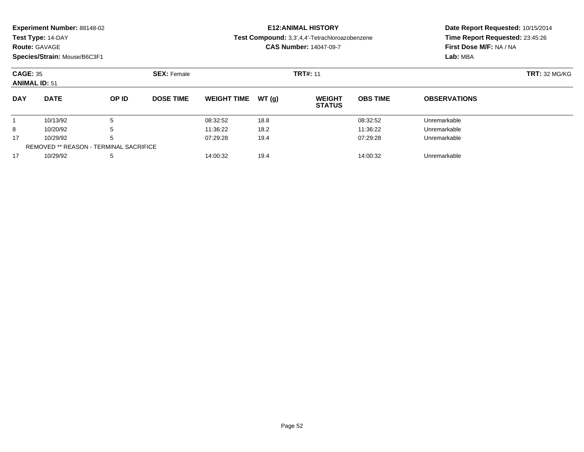| Experiment Number: 88148-02 |  |  |
|-----------------------------|--|--|
|-----------------------------|--|--|

### **Route:** GAVAGE

**Species/Strain:** Mouse/B6C3F1

# **E12:ANIMAL HISTORY**

**Test Compound:** 3,3',4,4'-Tetrachloroazobenzene

**CAS Number:** 14047-09-7

| <b>CAGE: 35</b><br><b>ANIMAL ID: 51</b> |                                               | <b>SEX: Female</b> |                  |                    | <b>TRT#: 11</b> |                                |                 | <b>TRT: 32 MG/KG</b> |  |
|-----------------------------------------|-----------------------------------------------|--------------------|------------------|--------------------|-----------------|--------------------------------|-----------------|----------------------|--|
| <b>DAY</b>                              | <b>DATE</b>                                   | <b>OP ID</b>       | <b>DOSE TIME</b> | <b>WEIGHT TIME</b> | WT(g)           | <b>WEIGHT</b><br><b>STATUS</b> | <b>OBS TIME</b> | <b>OBSERVATIONS</b>  |  |
|                                         | 10/13/92                                      | 5                  |                  | 08:32:52           | 18.8            |                                | 08:32:52        | Unremarkable         |  |
| 8                                       | 10/20/92                                      | 5                  |                  | 11:36:22           | 18.2            |                                | 11:36:22        | Unremarkable         |  |
| 17                                      | 10/29/92                                      | 5                  |                  | 07:29:28           | 19.4            |                                | 07:29:28        | Unremarkable         |  |
|                                         | <b>REMOVED ** REASON - TERMINAL SACRIFICE</b> |                    |                  |                    |                 |                                |                 |                      |  |
| 17                                      | 10/29/92                                      | 5                  |                  | 14:00:32           | 19.4            |                                | 14:00:32        | Unremarkable         |  |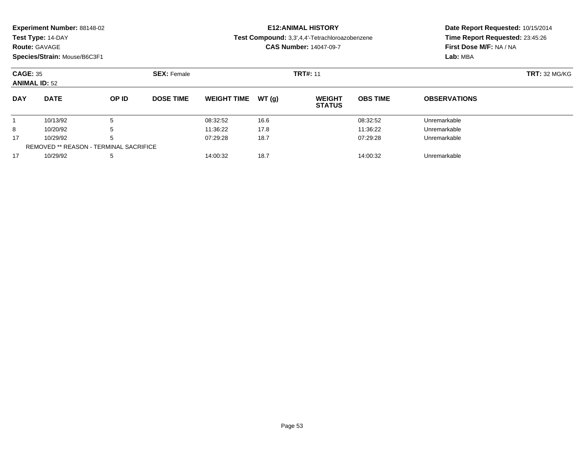|  | Experiment Number: 88148-02 |
|--|-----------------------------|
|--|-----------------------------|

### **Route:** GAVAGE

**Species/Strain:** Mouse/B6C3F1

# **E12:ANIMAL HISTORY**

**Test Compound:** 3,3',4,4'-Tetrachloroazobenzene

**CAS Number:** 14047-09-7

| <b>CAGE: 35</b><br><b>ANIMAL ID: 52</b> |                                               | <b>SEX: Female</b> |                  |                    | <b>TRT#: 11</b> | <b>TRT: 32 MG/KG</b>           |                 |                     |  |
|-----------------------------------------|-----------------------------------------------|--------------------|------------------|--------------------|-----------------|--------------------------------|-----------------|---------------------|--|
| <b>DAY</b>                              | <b>DATE</b>                                   | OP ID              | <b>DOSE TIME</b> | <b>WEIGHT TIME</b> | WT(g)           | <b>WEIGHT</b><br><b>STATUS</b> | <b>OBS TIME</b> | <b>OBSERVATIONS</b> |  |
|                                         | 10/13/92                                      |                    |                  | 08:32:52           | 16.6            |                                | 08:32:52        | Unremarkable        |  |
| 8                                       | 10/20/92                                      | b                  |                  | 11:36:22           | 17.8            |                                | 11:36:22        | Unremarkable        |  |
| 17                                      | 10/29/92                                      |                    |                  | 07:29:28           | 18.7            |                                | 07:29:28        | Unremarkable        |  |
|                                         | <b>REMOVED ** REASON - TERMINAL SACRIFICE</b> |                    |                  |                    |                 |                                |                 |                     |  |
| 17                                      | 10/29/92                                      |                    |                  | 14:00:32           | 18.7            |                                | 14:00:32        | Unremarkable        |  |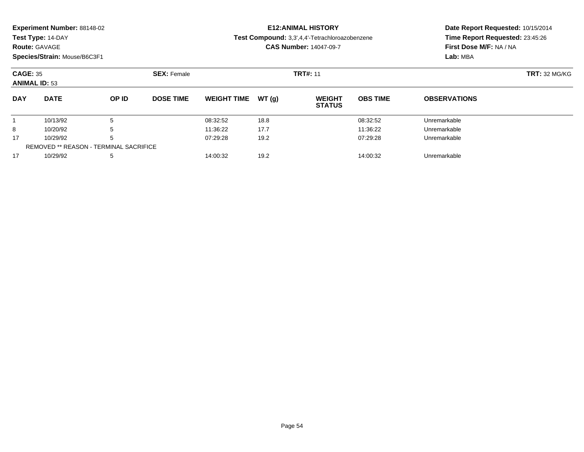| Experiment Number: 88148-02 |  |
|-----------------------------|--|
|-----------------------------|--|

### **Route:** GAVAGE

**Species/Strain:** Mouse/B6C3F1

## **E12:ANIMAL HISTORY**

#### **Test Compound:** 3,3',4,4'-Tetrachloroazobenzene

**CAS Number:** 14047-09-7

| <b>CAGE: 35</b><br><b>ANIMAL ID: 53</b> |                                               | <b>SEX: Female</b> |                  | <b>TRT#: 11</b>    |        |                                |                 | <b>TRT: 32 MG/KG</b> |  |
|-----------------------------------------|-----------------------------------------------|--------------------|------------------|--------------------|--------|--------------------------------|-----------------|----------------------|--|
| <b>DAY</b>                              | <b>DATE</b>                                   | OP ID              | <b>DOSE TIME</b> | <b>WEIGHT TIME</b> | WT (q) | <b>WEIGHT</b><br><b>STATUS</b> | <b>OBS TIME</b> | <b>OBSERVATIONS</b>  |  |
|                                         | 10/13/92                                      |                    |                  | 08:32:52           | 18.8   |                                | 08:32:52        | Unremarkable         |  |
| 8                                       | 10/20/92                                      |                    |                  | 11:36:22           | 17.7   |                                | 11:36:22        | Unremarkable         |  |
| 17                                      | 10/29/92                                      |                    |                  | 07:29:28           | 19.2   |                                | 07:29:28        | Unremarkable         |  |
|                                         | <b>REMOVED ** REASON - TERMINAL SACRIFICE</b> |                    |                  |                    |        |                                |                 |                      |  |
| 17                                      | 10/29/92                                      |                    |                  | 14:00:32           | 19.2   |                                | 14:00:32        | Unremarkable         |  |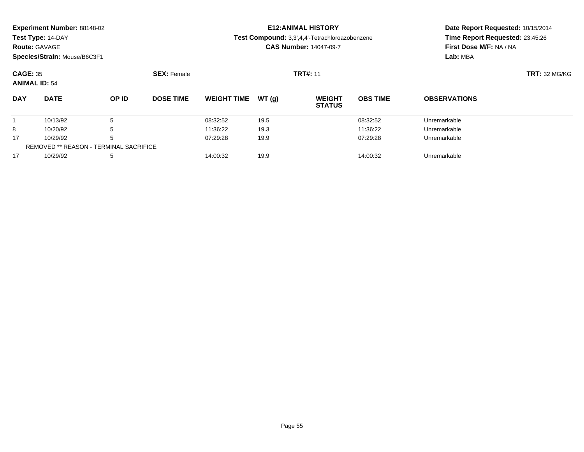|  | Experiment Number: 88148-02 |  |
|--|-----------------------------|--|
|--|-----------------------------|--|

**Route:** GAVAGE

**Species/Strain:** Mouse/B6C3F1

# **E12:ANIMAL HISTORY**

**Test Compound:** 3,3',4,4'-Tetrachloroazobenzene

**CAS Number:** 14047-09-7

| <b>CAGE: 35</b><br><b>ANIMAL ID: 54</b> |                                               | <b>SEX: Female</b> |                  |                     | <b>TRT#: 11</b> |                                |                 | <b>TRT: 32 MG/KG</b> |  |
|-----------------------------------------|-----------------------------------------------|--------------------|------------------|---------------------|-----------------|--------------------------------|-----------------|----------------------|--|
| <b>DAY</b>                              | <b>DATE</b>                                   | OP ID              | <b>DOSE TIME</b> | WEIGHT TIME $WT(g)$ |                 | <b>WEIGHT</b><br><b>STATUS</b> | <b>OBS TIME</b> | <b>OBSERVATIONS</b>  |  |
|                                         | 10/13/92                                      |                    |                  | 08:32:52            | 19.5            |                                | 08:32:52        | Unremarkable         |  |
| 8                                       | 10/20/92                                      |                    |                  | 11:36:22            | 19.3            |                                | 11:36:22        | Unremarkable         |  |
| 17                                      | 10/29/92                                      | b                  |                  | 07:29:28            | 19.9            |                                | 07:29:28        | Unremarkable         |  |
|                                         | <b>REMOVED ** REASON - TERMINAL SACRIFICE</b> |                    |                  |                     |                 |                                |                 |                      |  |
| 17                                      | 10/29/92                                      |                    |                  | 14:00:32            | 19.9            |                                | 14:00:32        | Unremarkable         |  |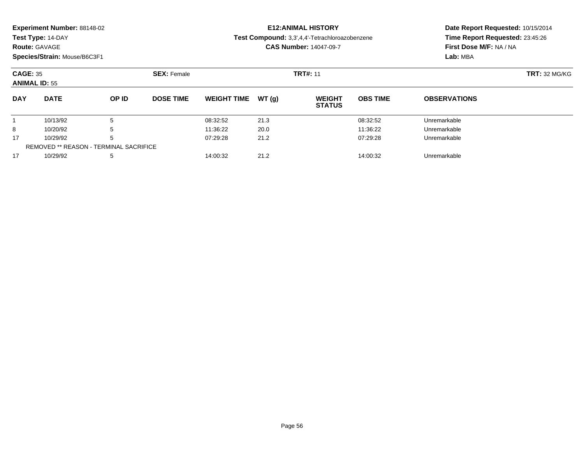|  |  | Experiment Number: 88148-02 |  |
|--|--|-----------------------------|--|
|--|--|-----------------------------|--|

**Route:** GAVAGE

**Species/Strain:** Mouse/B6C3F1

# **E12:ANIMAL HISTORY**

**Test Compound:** 3,3',4,4'-Tetrachloroazobenzene

**CAS Number:** 14047-09-7

| <b>CAGE: 35</b><br><b>ANIMAL ID: 55</b> |                                               |       | <b>SEX: Female</b> |                    |       | <b>TRT#: 11</b>                | <b>TRT: 32 MG/KG</b> |                     |  |
|-----------------------------------------|-----------------------------------------------|-------|--------------------|--------------------|-------|--------------------------------|----------------------|---------------------|--|
| <b>DAY</b>                              | <b>DATE</b>                                   | OP ID | <b>DOSE TIME</b>   | <b>WEIGHT TIME</b> | WT(q) | <b>WEIGHT</b><br><b>STATUS</b> | <b>OBS TIME</b>      | <b>OBSERVATIONS</b> |  |
|                                         | 10/13/92                                      |       |                    | 08:32:52           | 21.3  |                                | 08:32:52             | Unremarkable        |  |
| 8                                       | 10/20/92                                      | b     |                    | 11:36:22           | 20.0  |                                | 11:36:22             | Unremarkable        |  |
| 17                                      | 10/29/92                                      |       |                    | 07:29:28           | 21.2  |                                | 07:29:28             | Unremarkable        |  |
|                                         | <b>REMOVED ** REASON - TERMINAL SACRIFICE</b> |       |                    |                    |       |                                |                      |                     |  |
| 17                                      | 10/29/92                                      | 5     |                    | 14:00:32           | 21.2  |                                | 14:00:32             | Unremarkable        |  |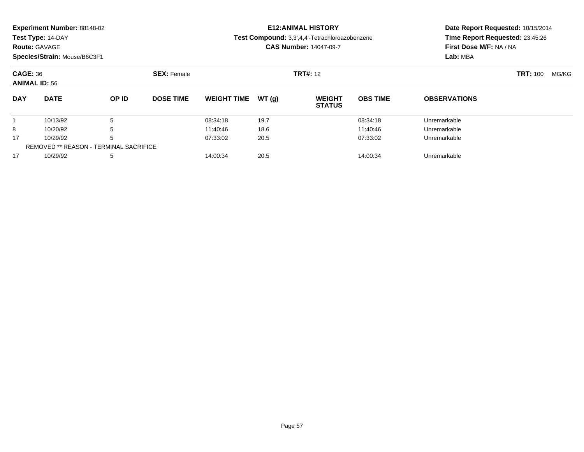| <b>DAY</b>                   | <b>DATE</b>                        | OP ID              | <b>DOSE TIME</b> | WEIGHT TIME $WT(q)$           |  | <b>WEIGHT</b><br><b>STATUS</b>                 | <b>OBS TIME</b>                   | <b>OBSERVATIONS</b>     |       |  |
|------------------------------|------------------------------------|--------------------|------------------|-------------------------------|--|------------------------------------------------|-----------------------------------|-------------------------|-------|--|
| <b>ANIMAL ID: 56</b>         |                                    |                    |                  |                               |  |                                                |                                   |                         |       |  |
| <b>CAGE: 36</b>              |                                    | <b>SEX: Female</b> | <b>TRT#: 12</b>  |                               |  |                                                |                                   | <b>TRT: 100</b>         | MG/KG |  |
| Species/Strain: Mouse/B6C3F1 |                                    |                    |                  |                               |  |                                                |                                   | Lab: MBA                |       |  |
|                              | <b>Route: GAVAGE</b>               |                    |                  | <b>CAS Number: 14047-09-7</b> |  |                                                |                                   | First Dose M/F: NA / NA |       |  |
|                              | Test Type: 14-DAY                  |                    |                  |                               |  | Test Compound: 3,3',4,4'-Tetrachloroazobenzene | Time Report Requested: 23:45:26   |                         |       |  |
|                              | <b>Experiment Number: 88148-02</b> |                    |                  |                               |  | <b>E12:ANIMAL HISTORY</b>                      | Date Report Requested: 10/15/2014 |                         |       |  |

10/13/92 <sup>5</sup> 08:34:18 19.7 08:34:18 Unremarkable

8 10/20/92 5 5 11:40:46 18.6 11:40:46 18.6 11:40:46 15

10/29/92 <sup>5</sup> 07:33:02 20.5 07:33:02 Unremarkable

10/29/92 <sup>5</sup> 14:00:34 20.5 14:00:34 Unremarkable

REMOVED \*\* REASON - TERMINAL SACRIFICE

1

8

17

17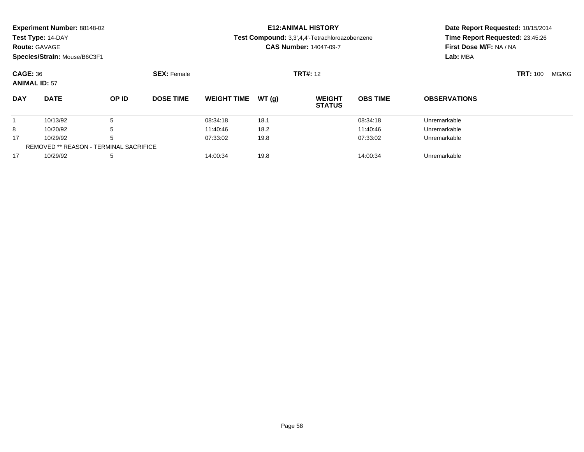|                      | <b>Experiment Number: 88148-02</b> |       |                    |                    |        | <b>E12:ANIMAL HISTORY</b>                      |                                 | Date Report Requested: 10/15/2014 |  |  |
|----------------------|------------------------------------|-------|--------------------|--------------------|--------|------------------------------------------------|---------------------------------|-----------------------------------|--|--|
|                      | Test Type: 14-DAY                  |       |                    |                    |        | Test Compound: 3,3',4,4'-Tetrachloroazobenzene | Time Report Requested: 23:45:26 |                                   |  |  |
| <b>Route: GAVAGE</b> |                                    |       |                    |                    |        | <b>CAS Number: 14047-09-7</b>                  | <b>First Dose M/F: NA / NA</b>  |                                   |  |  |
|                      | Species/Strain: Mouse/B6C3F1       |       |                    |                    |        |                                                |                                 | Lab: MBA                          |  |  |
|                      | CAGE: 36                           |       | <b>SEX: Female</b> | <b>TRT#: 12</b>    |        |                                                |                                 | <b>TRT: 100</b><br>MG/KG          |  |  |
|                      | <b>ANIMAL ID: 57</b>               |       |                    |                    |        |                                                |                                 |                                   |  |  |
| <b>DAY</b>           | <b>DATE</b>                        | OP ID | DOSE TIME          | <b>WEIGHT TIME</b> | WT (n) | <b>WEIGHT</b>                                  | <b>ORS TIME</b>                 | <b>ORSERVATIONS</b>               |  |  |

| <b>DAY</b> | <b>DATE</b>                            | OP ID | <b>DOSE TIME</b> | WEIGHT TIME $WT(q)$ |      | <b>WEIGHT</b><br><b>STATUS</b> | <b>OBS TIME</b> | <b>OBSERVATIONS</b> |  |
|------------|----------------------------------------|-------|------------------|---------------------|------|--------------------------------|-----------------|---------------------|--|
|            | 10/13/92                               |       |                  | 08:34:18            | 18.1 |                                | 08:34:18        | Unremarkable        |  |
|            | 10/20/92                               |       |                  | 11:40:46            | 18.2 |                                | 11:40:46        | Unremarkable        |  |
| 17         | 10/29/92                               |       |                  | 07:33:02            | 19.8 |                                | 07:33:02        | Unremarkable        |  |
|            | REMOVED ** REASON - TERMINAL SACRIFICE |       |                  |                     |      |                                |                 |                     |  |
| 17         | 10/29/92                               |       |                  | 14:00:34            | 19.8 |                                | 14:00:34        | Unremarkable        |  |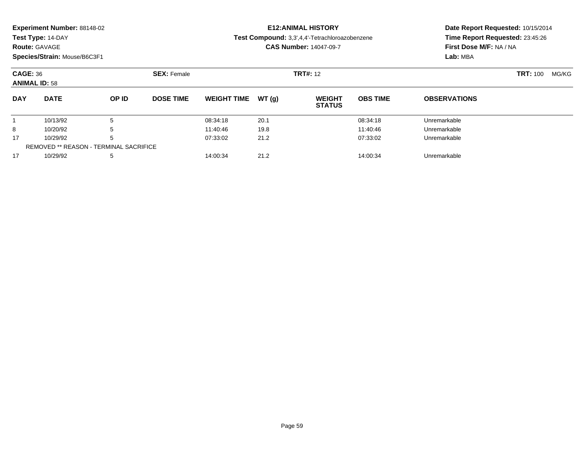**Route:** GAVAGE

**Species/Strain:** Mouse/B6C3F1

### **E12:ANIMAL HISTORY**

**Test Compound:** 3,3',4,4'-Tetrachloroazobenzene

**CAS Number:** 14047-09-7

| <b>CAGE: 36</b><br><b>ANIMAL ID: 58</b> |                                               |       | <b>SEX: Female</b> |                    |        | <b>TRT#:</b> 12                |                 |                     |  | MG/KG |
|-----------------------------------------|-----------------------------------------------|-------|--------------------|--------------------|--------|--------------------------------|-----------------|---------------------|--|-------|
| <b>DAY</b>                              | <b>DATE</b>                                   | OP ID | <b>DOSE TIME</b>   | <b>WEIGHT TIME</b> | WT (a) | <b>WEIGHT</b><br><b>STATUS</b> | <b>OBS TIME</b> | <b>OBSERVATIONS</b> |  |       |
|                                         | 10/13/92                                      | b     |                    | 08:34:18           | 20.1   |                                | 08:34:18        | Unremarkable        |  |       |
| 8                                       | 10/20/92                                      | 5     |                    | 11:40:46           | 19.8   |                                | 11:40:46        | Unremarkable        |  |       |
| 17                                      | 10/29/92                                      | b     |                    | 07:33:02           | 21.2   |                                | 07:33:02        | Unremarkable        |  |       |
|                                         | <b>REMOVED ** REASON - TERMINAL SACRIFICE</b> |       |                    |                    |        |                                |                 |                     |  |       |
| 17                                      | 10/29/92                                      | 5     |                    | 14:00:34           | 21.2   |                                | 14:00:34        | Unremarkable        |  |       |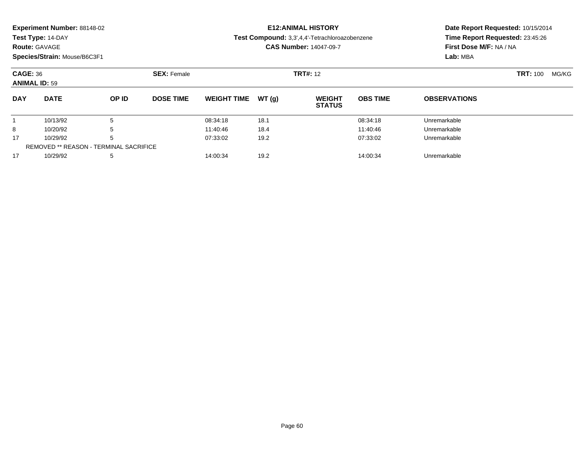| Experiment Number: 88148-02 |
|-----------------------------|
|-----------------------------|

**Route:** GAVAGE

**Species/Strain:** Mouse/B6C3F1

# **E12:ANIMAL HISTORY**

**Test Compound:** 3,3',4,4'-Tetrachloroazobenzene

**CAS Number:** 14047-09-7

| <b>CAGE: 36</b><br><b>ANIMAL ID: 59</b> |                                               |              | <b>SEX: Female</b> |                    |        | <b>TRT#: 12</b>                |                 |                     |  | MG/KG |
|-----------------------------------------|-----------------------------------------------|--------------|--------------------|--------------------|--------|--------------------------------|-----------------|---------------------|--|-------|
| <b>DAY</b>                              | <b>DATE</b>                                   | <b>OP ID</b> | <b>DOSE TIME</b>   | <b>WEIGHT TIME</b> | WT (a) | <b>WEIGHT</b><br><b>STATUS</b> | <b>OBS TIME</b> | <b>OBSERVATIONS</b> |  |       |
|                                         | 10/13/92                                      | 5            |                    | 08:34:18           | 18.1   |                                | 08:34:18        | Unremarkable        |  |       |
| 8                                       | 10/20/92                                      | 5            |                    | 11:40:46           | 18.4   |                                | 11:40:46        | Unremarkable        |  |       |
| 17                                      | 10/29/92                                      | 5            |                    | 07:33:02           | 19.2   |                                | 07:33:02        | Unremarkable        |  |       |
|                                         | <b>REMOVED ** REASON - TERMINAL SACRIFICE</b> |              |                    |                    |        |                                |                 |                     |  |       |
| 17                                      | 10/29/92                                      | 5            |                    | 14:00:34           | 19.2   |                                | 14:00:34        | Unremarkable        |  |       |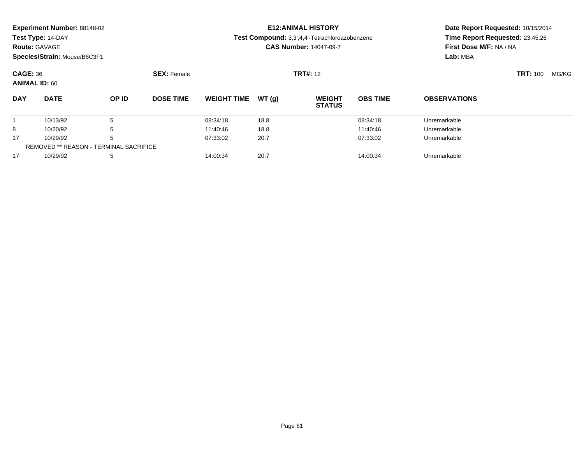|            | <b>Experiment Number: 88148-02</b><br>Test Type: 14-DAY<br><b>Route: GAVAGE</b>               |       |                  |                    |        | <b>E12:ANIMAL HISTORY</b><br>Test Compound: 3,3',4,4'-Tetrachloroazobenzene<br><b>CAS Number: 14047-09-7</b> | Date Report Requested: 10/15/2014<br>Time Report Requested: 23:45:26<br>First Dose M/F: NA / NA<br>Lab: MBA |                     |       |  |
|------------|-----------------------------------------------------------------------------------------------|-------|------------------|--------------------|--------|--------------------------------------------------------------------------------------------------------------|-------------------------------------------------------------------------------------------------------------|---------------------|-------|--|
|            | Species/Strain: Mouse/B6C3F1<br><b>CAGE: 36</b><br><b>SEX: Female</b><br><b>ANIMAL ID: 60</b> |       |                  |                    |        | <b>TRT#: 12</b>                                                                                              | TRT: 100                                                                                                    |                     | MG/KG |  |
| <b>DAY</b> | <b>DATE</b>                                                                                   | OP ID | <b>DOSE TIME</b> | <b>WEIGHT TIME</b> | WT (q) | <b>WEIGHT</b><br><b>STATUS</b>                                                                               | <b>OBS TIME</b>                                                                                             | <b>OBSERVATIONS</b> |       |  |

1 10/13/92 5 5 08:34:18 18.8 18.8 08:34:18 10/13/92 Unremarkable

8 10/20/92 5 5 11:40:46 18.8 11:40:46 18.8 11:40:46 10/20/92 Unremarkable

10/29/92 <sup>5</sup> 07:33:02 20.7 07:33:02 Unremarkable

10/29/92 <sup>5</sup> 14:00:34 20.7 14:00:34 Unremarkable

1

8

17

17

REMOVED \*\* REASON - TERMINAL SACRIFICE